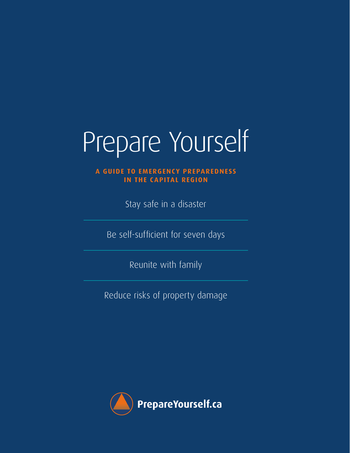# Prepare Yourself

## **A GUIDE TO EMERGENCY PREPAREDNESS IN THE CAPITAL REGION**

Stay safe in a disaster

Be self-sufficient for seven days

Reunite with family

Reduce risks of property damage

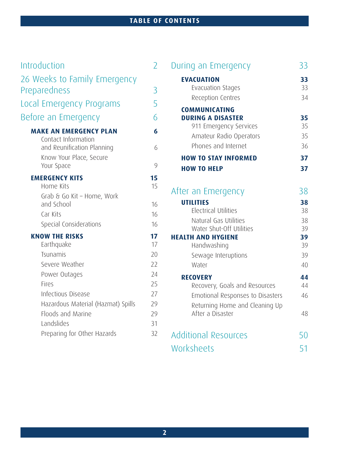| Introduction                                                                               | $\overline{2}$ |
|--------------------------------------------------------------------------------------------|----------------|
| 26 Weeks to Family Emergency<br>Preparedness                                               | 3              |
| Local Emergency Programs                                                                   | 5              |
| Before an Emergency                                                                        | 6              |
| <b>MAKE AN EMERGENCY PLAN</b>                                                              | 6              |
| Contact Information<br>and Reunification Planning<br>Know Your Place, Secure<br>Your Space | 6<br>9         |
| <b>EMERGENCY KITS</b>                                                                      | 15             |
| Home Kits                                                                                  | 15             |
| Grab & Go Kit - Home, Work<br>and School<br>Car Kits<br>Special Considerations             | 16<br>16<br>16 |
| <b>KNOW THE RISKS</b>                                                                      | 17             |
| Earthquake                                                                                 | 17             |
| Tsunamis                                                                                   | 20             |
| Severe Weather                                                                             | 22             |
| Power Outages                                                                              | 24             |
| Fires                                                                                      | 25             |
| Infectious Disease                                                                         | 27             |
| Hazardous Material (Hazmat) Spills                                                         | 29             |
| Floods and Marine                                                                          | 29             |
| Landslides                                                                                 | 31             |
| Preparing for Other Hazards                                                                | 32             |

| $\overline{2}$ | During an Emergency                                | 33       |
|----------------|----------------------------------------------------|----------|
|                | <b>EVACUATION</b>                                  | 33       |
| 3              | Evacuation Stages                                  | 33       |
| 5              | Reception Centres                                  | 34       |
|                | <b>COMMUNICATING</b>                               |          |
| 6              | <b>DURING A DISASTER</b><br>911 Emergency Services | 35<br>35 |
| 6              | Amateur Radio Operators                            | 35       |
| 6              | Phones and Internet                                | 36       |
|                | <b>HOW TO STAY INFORMED</b>                        | 37       |
| 9              | <b>HOW TO HELP</b>                                 | 37       |
| 15             |                                                    |          |
| 15             | After an Emergency                                 | 38       |
| 16             | <b>UTILITIES</b>                                   | 38       |
| 16             | <b>Electrical Utilities</b>                        | 38       |
| 16             | Natural Gas Utilities                              | 38       |
| 17             | Water Shut-Off Utilities                           | 39       |
| 17             | <b>HEALTH AND HYGIENE</b><br>Handwashing           | 39<br>39 |
| 20             | Sewage Interuptions                                | 39       |
| 22             | Water                                              | 40       |
| 24             | <b>RECOVERY</b>                                    | 44       |
| 25             | Recovery, Goals and Resources                      | 44       |
| 27             | Emotional Responses to Disasters                   | 46       |
| 29             | Returning Home and Cleaning Up                     |          |
| 29             | After a Disaster                                   | 48       |
| 31             |                                                    |          |
| 32             | <b>Additional Resources</b>                        | 50       |
|                | Worksheets                                         | 51       |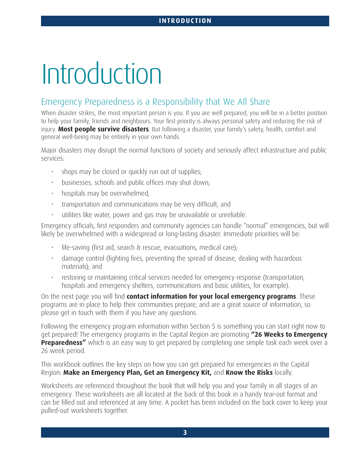# Introduction

## Emergency Preparedness is a Responsibility that We All Share

When disaster strikes, the most important person is you. If you are well prepared, you will be in a better position to help your family, friends and neighbours. Your first priority is always personal safety and reducing the risk of injury. **Most people survive disasters**. But following a disaster, your family's safety, health, comfort and general well-being may be entirely in your own hands.

Major disasters may disrupt the normal functions of society and seriously affect infrastructure and public services:

- shops may be closed or quickly run out of supplies;
- businesses, schools and public offices may shut down;
- hospitals may be overwhelmed;
- transportation and communications may be very difficult; and
- utilities like water, power and gas may be unavailable or unreliable.

Emergency officials, first responders and community agencies can handle "normal" emergencies, but will likely be overwhelmed with a widespread or long-lasting disaster. Immediate priorities will be:

- life-saving (first aid, search & rescue, evacuations, medical care);
- damage control (fighting fires, preventing the spread of disease, dealing with hazardous materials); and
- restoring or maintaining critical services needed for emergency response (transportation, hospitals and emergency shelters, communications and basic utilities, for example).

On the next page you will find **contact information for your local emergency programs**. These programs are in place to help their communities prepare, and are a great source of information, so please get in touch with them if you have any questions.

Following the emergency program information within Section 5 is something you can start right now to get prepared! The emergency programs in the Capital Region are promoting **"26 Weeks to Emergency Preparedness"** which is an easy way to get prepared by completing one simple task each week over a 26 week period.

This workbook outlines the key steps on how you can get prepared for emergencies in the Capital Region: **Make an Emergency Plan, Get an Emergency Kit,** and **Know the Risks** locally.

Worksheets are referenced throughout the book that will help you and your family in all stages of an emergency. These worksheets are all located at the back of this book in a handy tear-out format and can be filled out and referenced at any time. A pocket has been included on the back cover to keep your pulled-out worksheets together.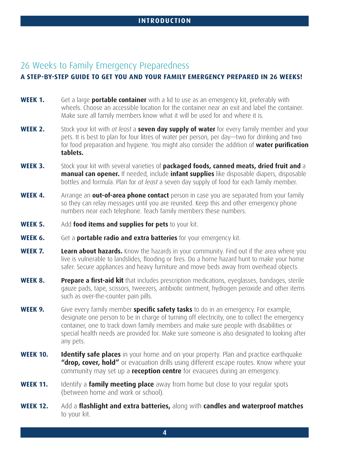## 26 Weeks to Family Emergency Preparedness

## **A STEP-BY-STEP GUIDE TO GET YOU AND YOUR FAMILY EMERGENCY PREPARED IN 26 WEEKS!**

- **WEEK 1.** Get a large **portable container** with a lid to use as an emergency kit, preferably with wheels. Choose an accessible location for the container near an exit and label the container. Make sure all family members know what it will be used for and where it is.
- **WEEK 2.** Stock your kit with *at least* a **seven day supply of water** for every family member and your pets. It is best to plan for four litres of water per person, per day—two for drinking and two for food preparation and hygiene. You might also consider the addition of **water purification tablets.**
- **WEEK 3.** Stock your kit with several varieties of **packaged foods, canned meats, dried fruit and** a **manual can opener.** If needed, include **infant supplies** like disposable diapers, disposable bottles and formula. Plan for *at least* a seven day supply of food for each family member.
- **WEEK 4.** Arrange an **out-of-area phone contact** person in case you are separated from your family so they can relay messages until you are reunited. Keep this and other emergency phone numbers near each telephone. Teach family members these numbers.
- **WEEK 5.** Add **food items and supplies for pets** to your kit.
- **WEEK 6.** Get a **portable radio and extra batteries** for your emergency kit.
- **WEEK 7. Learn about hazards.** Know the hazards in your community. Find out if the area where you live is vulnerable to landslides, flooding or fires. Do a home hazard hunt to make your home safer: Secure appliances and heavy furniture and move beds away from overhead objects.
- **WEEK 8. Prepare a first-aid kit** that includes prescription medications, eyeglasses, bandages, sterile gauze pads, tape, scissors, tweezers, antibiotic ointment, hydrogen peroxide and other items such as over-the-counter pain pills.
- **WEEK 9.** Give every family member **specific safety tasks** to do in an emergency. For example, designate one person to be in charge of turning off electricity, one to collect the emergency container, one to track down family members and make sure people with disabilities or special health needs are provided for. Make sure someone is also designated to looking after any pets.
- **WEEK 10. Identify safe places** in your home and on your property. Plan and practice earthquake "**drop, cover, hold"** or evacuation drills using different escape routes. Know where your community may set up a **reception centre** for evacuees during an emergency.
- **WEEK 11.** Identify a **family meeting place** away from home but close to your regular spots (between home and work or school).
- **WEEK 12.** Add a **flashlight and extra batteries,** along with **candles and waterproof matches**  to your kit.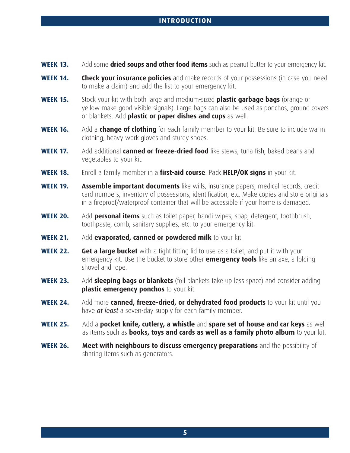## **INTRODUCTION**

- **WEEK 13.** Add some **dried soups and other food items** such as peanut butter to your emergency kit.
- **WEEK 14. Check your insurance policies** and make records of your possessions (in case you need to make a claim) and add the list to your emergency kit.
- **WEEK 15.** Stock your kit with both large and medium-sized **plastic garbage bags** (orange or yellow make good visible signals). Large bags can also be used as ponchos, ground covers or blankets. Add **plastic or paper dishes and cups** as well.
- **WEEK 16.** Add a **change of clothing** for each family member to your kit. Be sure to include warm clothing, heavy work gloves and sturdy shoes.
- **WEEK 17.** Add additional **canned or freeze-dried food** like stews, tuna fish, baked beans and vegetables to your kit.
- **WEEK 18.** Enroll a family member in a **first-aid course**. Pack **HELP/OK signs** in your kit.
- **WEEK 19. Assemble important documents** like wills, insurance papers, medical records, credit card numbers, inventory of possessions, identification, etc. Make copies and store originals in a fireproof/waterproof container that will be accessible if your home is damaged.
- **WEEK 20.** Add **personal items** such as toilet paper, handi-wipes, soap, detergent, toothbrush, toothpaste, comb, sanitary supplies, etc. to your emergency kit.
- **WEEK 21.** Add **evaporated, canned or powdered milk** to your kit.
- **WEEK 22.** Get a large bucket with a tight-fitting lid to use as a toilet, and put it with your emergency kit. Use the bucket to store other **emergency tools** like an axe, a folding shovel and rope.
- **WEEK 23.** Add **sleeping bags or blankets** (foil blankets take up less space) and consider adding **plastic emergency ponchos** to your kit.
- **WEEK 24.** Add more **canned, freeze-dried, or dehydrated food products** to your kit until you have *at least* a seven-day supply for each family member.
- **WEEK 25.** Add a **pocket knife, cutlery, a whistle** and **spare set of house and car keys** as well as items such as **books, toys and cards as well as a family photo album** to your kit.
- **WEEK 26. Meet with neighbours to discuss emergency preparations** and the possibility of sharing items such as generators.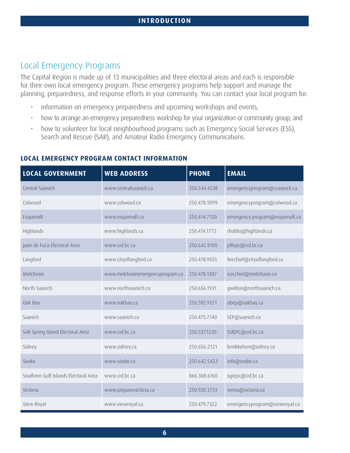#### **INTRODUCTION**

## Local Emergency Programs

The Capital Region is made up of 13 municipalities and three electoral areas and each is responsible for their own local emergency program. These emergency programs help support and manage the planning, preparedness, and response efforts in your community. You can contact your local program for:

- information on emergency preparedness and upcoming workshops and events;
- how to arrange an emergency preparedness workshop for your organization or community group; and
- how to volunteer for local neighbourhood programs such as Emergency Social Services (ESS), Search and Rescue (SAR), and Amateur Radio Emergency Communications.

| <b>LOCAL GOVERNMENT</b>              | <b>WEB ADDRESS</b>               | <b>PHONE</b> | <b>EMAIL</b>                   |
|--------------------------------------|----------------------------------|--------------|--------------------------------|
| Central Saanich                      | www.centralsaanich.ca            | 250.544.4238 | emergencyprogram@csaanich.ca   |
| Colwood                              | www.colwood.ca                   | 250.478.5999 | emergencyprogram@colwood.ca    |
| Esquimalt                            | www.esquimalt.ca                 | 250.414.7120 | emergency.program@esquimalt.ca |
| Highlands                            | www.highlands.ca                 | 250.474.1773 | rhobbs@highlands.ca            |
| Juan de Fuca Electoral Area          | www.crd.bc.ca                    | 250.642.8105 | jdfepc@crd.bc.ca               |
| Langford                             | www.cityoflangford.ca            | 250.478.9555 | firechief@cityoflangford.ca    |
| Metchosin                            | www.metchosinemergencyprogram.ca | 250.478.1307 | eocchief@metchosin.ca          |
| North Saanich                        | www.northsaanich.ca              | 250.656.1931 | qwilton@northsaanich.ca        |
| Oak Bay                              | www.oakbay.ca                    | 250.592.9121 | obep@oakbay.ca                 |
| Saanich                              | www.saanich.ca                   | 250.475.7140 | SEP@saanich.ca                 |
| Salt Spring Island Electoral Area    | www.crd.bc.ca                    | 250.537.1220 | SSIEPC@crd.bc.ca               |
| Sidney                               | www.sidney.ca                    | 250.656.2121 | bmikkelsen@sidney.ca           |
| Sooke                                | www.sooke.ca                     | 250.642.5422 | info@sooke.ca                  |
| Southern Gulf Islands Electoral Area | www.crd.bc.ca                    | 866.308.6160 | sgiepc@crd.bc.ca               |
| Victoria                             | www.preparevictoria.ca           | 250.920.3733 | vema@victoria.ca               |
| View Royal                           | www.viewroyal.ca                 | 250.479.7322 | emergencyprogram@viewroyal.ca  |

#### **LOCAL EMERGENCY PROGRAM CONTACT INFORMATION**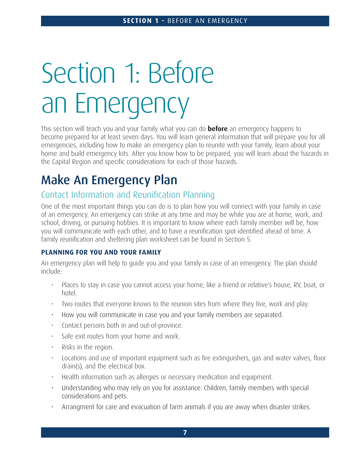# Section 1: Before an Emergency

This section will teach you and your family what you can do **before** an emergency happens to become prepared for at least seven days. You will learn general information that will prepare you for all emergencies, including how to make an emergency plan to reunite with your family, learn about your home and build emergency kits. After you know how to be prepared, you will learn about the hazards in the Capital Region and specific considerations for each of those hazards.

# Make An Emergency Plan

## Contact Information and Reunification Planning

One of the most important things you can do is to plan how you will connect with your family in case of an emergency. An emergency can strike at any time and may be while you are at home, work, and school, driving, or pursuing hobbies. It is important to know where each family member will be, how you will communicate with each other, and to have a reunification spot identified ahead of time. A family reunification and sheltering plan worksheet can be found in Section 5.

## **PLANNING FOR YOU AND YOUR FAMILY**

An emergency plan will help to guide you and your family in case of an emergency. The plan should include:

- Places to stay in case you cannot access your home, like a friend or relative's house, RV, boat, or hotel.
- Two routes that everyone knows to the reunion sites from where they live, work and play.
- How you will communicate in case you and your family members are separated.
- Contact persons both in and out-of-province.
- Safe exit routes from your home and work.
- Risks in the region.
- Locations and use of important equipment such as fire extinguishers, gas and water valves, floor drain(s), and the electrical box.
- Health information such as allergies or necessary medication and equipment.
- Understanding who may rely on you for assistance: Children, family members with special considerations and pets.
- Arrangment for care and evacuation of farm animals if you are away when disaster strikes.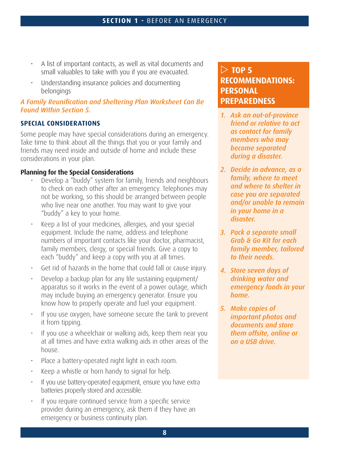- A list of important contacts, as well as vital documents and small valuables to take with you if you are evacuated.
- Understanding insurance policies and documenting belongings

## *A Family Reunification and Sheltering Plan Worksheet Can Be Found Within Section 5.*

## **SPECIAL CONSIDERATIONS**

Some people may have special considerations during an emergency. Take time to think about all the things that you or your family and friends may need inside and outside of home and include these considerations in your plan.

## **Planning for the Special Considerations**

- Develop a "buddy" system for family, friends and neighbours to check on each other after an emergency. Telephones may not be working, so this should be arranged between people who live near one another. You may want to give your "buddy" a key to your home.
- Keep a list of your medicines, allergies, and your special equipment. Include the name, address and telephone numbers of important contacts like your doctor, pharmacist, family members, clergy, or special friends. Give a copy to each "buddy" and keep a copy with you at all times.
- Get rid of hazards in the home that could fall or cause injury.
- Develop a backup plan for any life sustaining equipment/ apparatus so it works in the event of a power outage, which may include buying an emergency generator. Ensure you know how to properly operate and fuel your equipment.
- If you use oxygen, have someone secure the tank to prevent it from tipping.
- If you use a wheelchair or walking aids, keep them near you at all times and have extra walking aids in other areas of the house.
- Place a battery-operated night light in each room.
- Keep a whistle or horn handy to signal for help.
- If you use battery-operated equipment, ensure you have extra batteries properly stored and accessible.
- If you require continued service from a specific service provider during an emergency, ask them if they have an emergency or business continuity plan.

## $>$  TOP 5 **RECOMMENDATIONS: PERSONAL PREPAREDNESS**

- *1. Ask an out-of-province friend or relative to act as contact for family members who may become separated during a disaster.*
- *2. Decide in advance, as a family, where to meet and where to shelter in case you are separated and/or unable to remain in your home in a disaster.*
- *3. Pack a separate small Grab & Go Kit for each family member, tailored to their needs.*
- *4. Store seven days of drinking water and emergency foods in your home.*
- *5. Make copies of important photos and documents and store them offsite, online or on a USB drive.*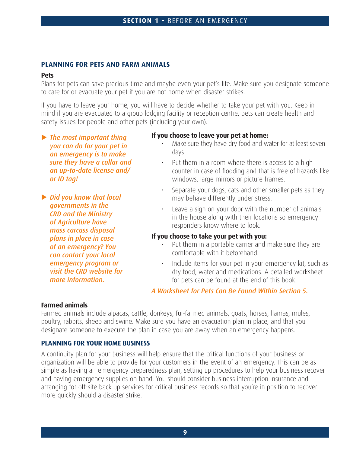## **PLANNING FOR PETS AND FARM ANIMALS**

#### **Pets**

Plans for pets can save precious time and maybe even your pet's life. Make sure you designate someone to care for or evacuate your pet if you are not home when disaster strikes.

If you have to leave your home, you will have to decide whether to take your pet with you. Keep in mind if you are evacuated to a group lodging facility or reception centre, pets can create health and safety issues for people and other pets (including your own).

- **I** The most important thing *you can do for your pet in an emergency is to make sure they have a collar and an up-to-date license and/ or ID tag!*
- **Did you know that local** *governments in the CRD and the Ministry of Agriculture have mass carcass disposal plans in place in case of an emergency? You can contact your local emergency program or visit the CRD website for more information.*

#### **If you choose to leave your pet at home:**

- Make sure they have dry food and water for at least seven days.
- Put them in a room where there is access to a high counter in case of flooding and that is free of hazards like windows, large mirrors or picture frames.
- Separate your dogs, cats and other smaller pets as they may behave differently under stress.
- Leave a sign on your door with the number of animals in the house along with their locations so emergency responders know where to look.

### **If you choose to take your pet with you:**

- Put them in a portable carrier and make sure they are comfortable with it beforehand.
- Include items for your pet in your emergency kit, such as dry food, water and medications. A detailed worksheet for pets can be found at the end of this book.

### *A Worksheet for Pets Can Be Found Within Section 5.*

## **Farmed animals**

Farmed animals include alpacas, cattle, donkeys, fur-farmed animals, goats, horses, llamas, mules, poultry, rabbits, sheep and swine. Make sure you have an evacuation plan in place, and that you designate someone to execute the plan in case you are away when an emergency happens.

### **PLANNING FOR YOUR HOME BUSINESS**

A continuity plan for your business will help ensure that the critical functions of your business or organization will be able to provide for your customers in the event of an emergency. This can be as simple as having an emergency preparedness plan, setting up procedures to help your business recover and having emergency supplies on hand. You should consider business interruption insurance and arranging for off-site back up services for critical business records so that you're in position to recover more quickly should a disaster strike.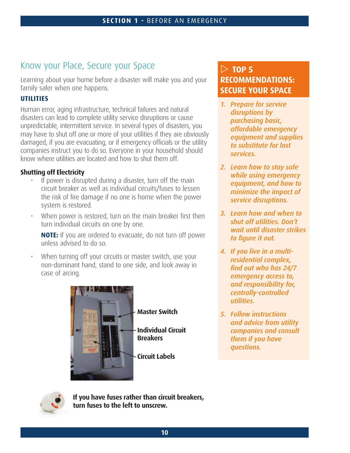## Know your Place, Secure your Space

Learning about your home before a disaster will make you and your family safer when one happens.

## **UTILITIES**

Human error, aging infrastructure, technical failures and natural disasters can lead to complete utility service disruptions or cause unpredictable, intermittent service. In several types of disasters, you may have to shut off one or more of your utilities if they are obviously damaged, if you are evacuating, or if emergency officials or the utility companies instruct you to do so. Everyone in your household should know where utilities are located and how to shut them off.

## **Shutting off Electricity**

- If power is disrupted during a disaster, turn off the main circuit breaker as well as individual circuits/fuses to lessen the risk of fire damage if no one is home when the power system is restored.
- When power is restored, turn on the main breaker first then turn individual circuits on one by one.

**NOTE:** If you are ordered to evacuate, do not turn off power unless advised to do so.

When turning off your circuits or master switch, use your non-dominant hand, stand to one side, and look away in case of arcing.



## $\triangleright$  TOP 5 **RECOMMENDATIONS: SECURE YOUR SPACE**

- *1. Prepare for service disruptions by purchasing basic, affordable emergency equipment and supplies to substitute for lost services.*
- *2. Learn how to stay safe while using emergency equipment, and how to minimize the impact of service disruptions.*
- *3. Learn how and when to shut off utilities. Don't wait until disaster strikes to figure it out.*
- *4. If you live in a multiresidential complex, find out who has 24/7 emergency access to, and responsibility for, centrally-controlled utilities.*
- *5. Follow instructions and advice from utility companies and consult them if you have questions.*



**If you have fuses rather than circuit breakers, turn fuses to the left to unscrew.**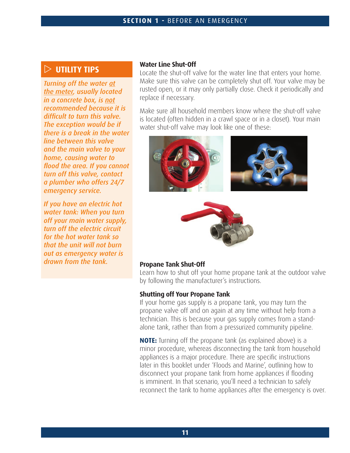## $\triangleright$  UTILITY TIPS

*Turning off the water at the meter, usually located in a concrete box, is not recommended because it is difficult to turn this valve. The exception would be if there is a break in the water line between this valve and the main valve to your home, causing water to flood the area. If you cannot turn off this valve, contact a plumber who offers 24/7 emergency service.* 

*If you have an electric hot water tank: When you turn off your main water supply, turn off the electric circuit for the hot water tank so that the unit will not burn out as emergency water is drawn from the tank.* 

### **Water Line Shut-Off**

Locate the shut-off valve for the water line that enters your home. Make sure this valve can be completely shut off. Your valve may be rusted open, or it may only partially close. Check it periodically and replace if necessary.

Make sure all household members know where the shut-off valve is located (often hidden in a crawl space or in a closet). Your main water shut-off valve may look like one of these:





#### **Propane Tank Shut-Off**

Learn how to shut off your home propane tank at the outdoor valve by following the manufacturer's instructions.

### **Shutting off Your Propane Tank**

If your home gas supply is a propane tank, you may turn the propane valve off and on again at any time without help from a technician. This is because your gas supply comes from a standalone tank, rather than from a pressurized community pipeline.

**NOTE:** Turning off the propane tank (as explained above) is a minor procedure, whereas disconnecting the tank from household appliances is a major procedure. There are specific instructions later in this booklet under 'Floods and Marine', outlining how to disconnect your propane tank from home appliances if flooding is imminent. In that scenario, you'll need a technician to safely reconnect the tank to home appliances after the emergency is over.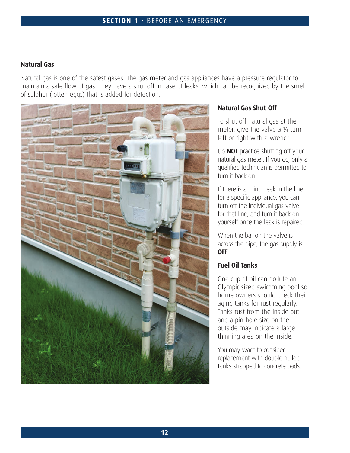## **Natural Gas**

Natural gas is one of the safest gases. The gas meter and gas appliances have a pressure regulator to maintain a safe flow of gas. They have a shut-off in case of leaks, which can be recognized by the smell of sulphur (rotten eggs) that is added for detection.



## **Natural Gas Shut-Off**

To shut off natural gas at the meter, give the valve a ¼ turn left or right with a wrench.

Do **NOT** practice shutting off your natural gas meter. If you do, only a qualified technician is permitted to turn it back on.

If there is a minor leak in the line for a specific appliance, you can turn off the individual gas valve for that line, and turn it back on yourself once the leak is repaired.

When the bar on the valve is across the pipe, the gas supply is **OFF**.

## **Fuel Oil Tanks**

One cup of oil can pollute an Olympic-sized swimming pool so home owners should check their aging tanks for rust regularly. Tanks rust from the inside out and a pin-hole size on the outside may indicate a large thinning area on the inside.

You may want to consider replacement with double hulled tanks strapped to concrete pads.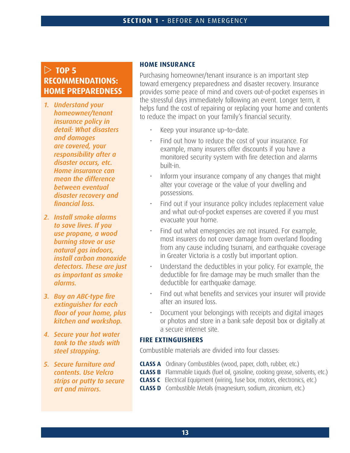## $\triangleright$  **TOP 5 RECOMMENDATIONS: HOME PREPAREDNESS**

- *1. Understand your homeowner/tenant insurance policy in detail: What disasters and damages are covered, your responsibility after a disaster occurs, etc. Home insurance can mean the difference between eventual disaster recovery and financial loss.*
- *2. Install smoke alarms to save lives. If you use propane, a wood burning stove or use natural gas indoors, install carbon monoxide detectors. These are just as important as smoke alarms.*
- *3. Buy an ABC-type fire extinguisher for each floor of your home, plus kitchen and workshop.*
- *4. Secure your hot water tank to the studs with steel strapping.*
- *5. Secure furniture and contents. Use Velcro strips or putty to secure art and mirrors.*

## **HOME INSURANCE**

Purchasing homeowner/tenant insurance is an important step toward emergency preparedness and disaster recovery. Insurance provides some peace of mind and covers out-of-pocket expenses in the stressful days immediately following an event. Longer term, it helps fund the cost of repairing or replacing your home and contents to reduce the impact on your family's financial security.

- Keep your insurance up–to–date.
- Find out how to reduce the cost of your insurance. For example, many insurers offer discounts if you have a monitored security system with fire detection and alarms built-in.
- Inform your insurance company of any changes that might alter your coverage or the value of your dwelling and possessions.
- Find out if your insurance policy includes replacement value and what out-of-pocket expenses are covered if you must evacuate your home.
- Find out what emergencies are not insured. For example, most insurers do not cover damage from overland flooding from any cause including tsunami, and earthquake coverage in Greater Victoria is a costly but important option.
- Understand the deductibles in your policy. For example, the deductible for fire damage may be much smaller than the deductible for earthquake damage.
- Find out what benefits and services your insurer will provide after an insured loss.
- Document your belongings with receipts and digital images or photos and store in a bank safe deposit box or digitally at a secure internet site.

### **FIRE EXTINGUISHERS**

Combustible materials are divided into four classes:

- **CLASS A** Ordinary Combustibles (wood, paper, cloth, rubber, etc.)
- **CLASS B** Flammable Liquids (fuel oil, gasoline, cooking grease, solvents, etc.)
- **CLASS C** Electrical Equipment (wiring, fuse box, motors, electronics, etc.)
- **CLASS D** Combustible Metals (magnesium, sodium, zirconium, etc.)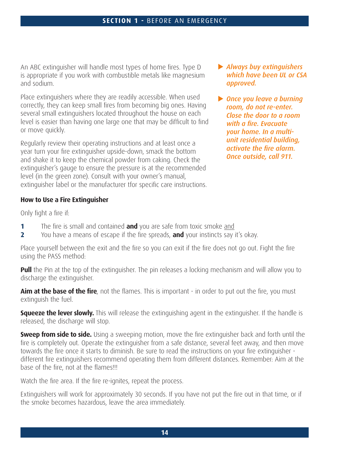An ABC extinguisher will handle most types of home fires. Type D is appropriate if you work with combustible metals like magnesium and sodium.

Place extinguishers where they are readily accessible. When used correctly, they can keep small fires from becoming big ones. Having several small extinguishers located throughout the house on each level is easier than having one large one that may be difficult to find or move quickly.

Regularly review their operating instructions and at least once a year turn your fire extinguisher upside-down, smack the bottom and shake it to keep the chemical powder from caking. Check the extinguisher's gauge to ensure the pressure is at the recommended level (in the green zone). Consult with your owner's manual, extinguisher label or the manufacturer tfor specific care instructions.

- u *Always buy extinguishers which have been UL or CSA approved.*
- **D** Once you leave a burning *room, do not re-enter. Close the door to a room with a fire. Evacuate your home. In a multiunit residential building, activate the fire alarm. Once outside, call 911.*

## **How to Use a Fire Extinguisher**

Only fight a fire if:

- **1** The fire is small and contained **and** you are safe from toxic smoke and
- **2** You have a means of escape if the fire spreads, **and** your instincts say it's okay.

Place yourself between the exit and the fire so you can exit if the fire does not go out. Fight the fire using the PASS method:

**Pull** the Pin at the top of the extinguisher. The pin releases a locking mechanism and will allow you to discharge the extinguisher.

**Aim at the base of the fire**, not the flames. This is important - in order to put out the fire, you must extinguish the fuel.

**Squeeze the lever slowly.** This will release the extinguishing agent in the extinguisher. If the handle is released, the discharge will stop.

**Sweep from side to side.** Using a sweeping motion, move the fire extinguisher back and forth until the fire is completely out. Operate the extinguisher from a safe distance, several feet away, and then move towards the fire once it starts to diminish. Be sure to read the instructions on your fire extinguisher different fire extinguishers recommend operating them from different distances. Remember: Aim at the base of the fire, not at the flames!!!

Watch the fire area. If the fire re-ignites, repeat the process.

Extinguishers will work for approximately 30 seconds. If you have not put the fire out in that time, or if the smoke becomes hazardous, leave the area immediately.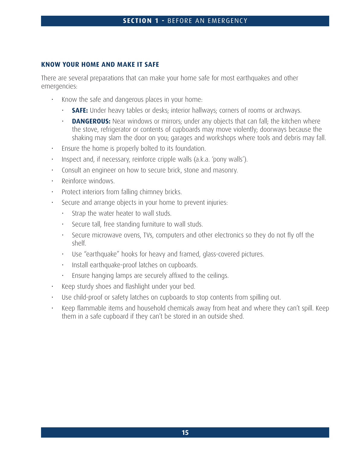## **KNOW YOUR HOME AND MAKE IT SAFE**

There are several preparations that can make your home safe for most earthquakes and other emergencies:

- Know the safe and dangerous places in your home:
	- **SAFE:** Under heavy tables or desks; interior hallways; corners of rooms or archways.
	- **DANGEROUS:** Near windows or mirrors; under any objects that can fall; the kitchen where the stove, refrigerator or contents of cupboards may move violently; doorways because the shaking may slam the door on you; garages and workshops where tools and debris may fall.
- Ensure the home is properly bolted to its foundation.
- Inspect and, if necessary, reinforce cripple walls (a.k.a. 'pony walls').
- Consult an engineer on how to secure brick, stone and masonry.
- Reinforce windows.
- Protect interiors from falling chimney bricks.
- Secure and arrange objects in your home to prevent injuries:
	- Strap the water heater to wall studs.
	- Secure tall, free standing furniture to wall studs.
	- Secure microwave ovens, TVs, computers and other electronics so they do not fly off the shelf.
	- Use "earthquake" hooks for heavy and framed, glass-covered pictures.
	- Install earthquake-proof latches on cupboards.
	- Ensure hanging lamps are securely affixed to the ceilings.
- Keep sturdy shoes and flashlight under your bed.
- Use child-proof or safety latches on cupboards to stop contents from spilling out.
- Keep flammable items and household chemicals away from heat and where they can't spill. Keep them in a safe cupboard if they can't be stored in an outside shed.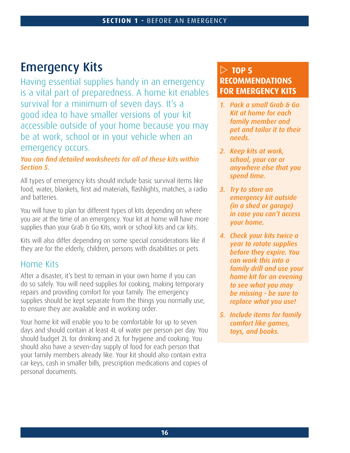## Emergency Kits

Having essential supplies handy in an emergency is a vital part of preparedness. A home kit enables survival for a minimum of seven days. It's a good idea to have smaller versions of your kit accessible outside of your home because you may be at work, school or in your vehicle when an emergency occurs.

## *You can find detailed worksheets for all of these kits within Section 5.*

All types of emergency kits should include basic survival items like food, water, blankets, first aid materials, flashlights, matches, a radio and batteries.

You will have to plan for different types of kits depending on where you are at the time of an emergency. Your kit at home will have more supplies than your Grab & Go Kits, work or school kits and car kits.

Kits will also differ depending on some special considerations like if they are for the elderly, children, persons with disabilities or pets.

## Home Kits

After a disaster, it's best to remain in your own home if you can do so safely. You will need supplies for cooking, making temporary repairs and providing comfort for your family. The emergency supplies should be kept separate from the things you normally use, to ensure they are available and in working order.

Your home kit will enable you to be comfortable for up to seven days and should contain at least 4L of water per person per day. You should budget 2L for drinking and 2L for hygiene and cooking. You should also have a seven-day supply of food for each person that your family members already like. Your kit should also contain extra car keys, cash in smaller bills, prescription medications and copies of personal documents.

## $\triangleright$  TOP 5 **RECOMMENDATIONS FOR EMERGENCY KITS**

- *1. Pack a small Grab & Go Kit at home for each family member and pet and tailor it to their needs.*
- *2. Keep kits at work, school, your car or anywhere else that you spend time.*
- *3. Try to store an emergency kit outside (in a shed or garage) in case you can't access your home.*
- *4. Check your kits twice a year to rotate supplies before they expire. You can work this into a family drill and use your home kit for an evening to see what you may be missing - be sure to replace what you use!*
- *5. Include items for family comfort like games, toys, and books.*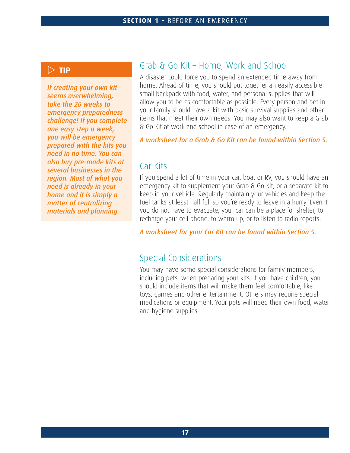## $\triangleright$  TIP

*If creating your own kit seems overwhelming, take the 26 weeks to emergency preparedness challenge! If you complete one easy step a week, you will be emergency prepared with the kits you need in no time. You can also buy pre-made kits at several businesses in the region. Most of what you need is already in your home and it is simply a matter of centralizing materials and planning.*

## Grab & Go Kit – Home, Work and School

A disaster could force you to spend an extended time away from home. Ahead of time, you should put together an easily accessible small backpack with food, water, and personal supplies that will allow you to be as comfortable as possible. Every person and pet in your family should have a kit with basic survival supplies and other items that meet their own needs. You may also want to keep a Grab & Go Kit at work and school in case of an emergency.

*A worksheet for a Grab & Go Kit can be found within Section 5.*

## Car Kits

If you spend a lot of time in your car, boat or RV, you should have an emergency kit to supplement your Grab & Go Kit, or a separate kit to keep in your vehicle. Regularly maintain your vehicles and keep the fuel tanks at least half full so you're ready to leave in a hurry. Even if you do not have to evacuate, your car can be a place for shelter, to recharge your cell phone, to warm up, or to listen to radio reports.

*A worksheet for your Car Kit can be found within Section 5.*

## Special Considerations

You may have some special considerations for family members, including pets, when preparing your kits. If you have children, you should include items that will make them feel comfortable, like toys, games and other entertainment. Others may require special medications or equipment. Your pets will need their own food, water and hygiene supplies.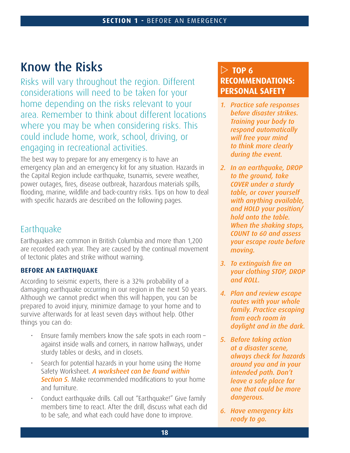## Know the Risks

Risks will vary throughout the region. Different considerations will need to be taken for your home depending on the risks relevant to your area. Remember to think about different locations where you may be when considering risks. This could include home, work, school, driving, or engaging in recreational activities.

The best way to prepare for any emergency is to have an emergency plan and an emergency kit for any situation. Hazards in the Capital Region include earthquake, tsunamis, severe weather, power outages, fires, disease outbreak, hazardous materials spills, flooding, marine, wildlife and back-country risks. Tips on how to deal with specific hazards are described on the following pages.

## Earthquake

Earthquakes are common in British Columbia and more than 1,200 are recorded each year. They are caused by the continual movement of tectonic plates and strike without warning.

### **BEFORE AN EARTHQUAKE**

According to seismic experts, there is a 32% probability of a damaging earthquake occurring in our region in the next 50 years. Although we cannot predict when this will happen, you can be prepared to avoid injury, minimize damage to your home and to survive afterwards for at least seven days without help. Other things you can do:

- Ensure family members know the safe spots in each room against inside walls and corners, in narrow hallways, under sturdy tables or desks, and in closets.
- Search for potential hazards in your home using the Home Safety Worksheet. *A worksheet can be found within*  **Section 5.** Make recommended modifications to your home and furniture.
- Conduct earthquake drills. Call out "Earthquake!" Give family members time to react. After the drill, discuss what each did to be safe, and what each could have done to improve.

## $>$  TOP 6 **RECOMMENDATIONS: PERSONAL SAFETY**

- *1. Practice safe responses before disaster strikes. Training your body to respond automatically will free your mind to think more clearly during the event.*
- *2. In an earthquake, DROP to the ground, take COVER under a sturdy table, or cover yourself with anything available, and HOLD your position/ hold onto the table. When the shaking stops, COUNT to 60 and assess your escape route before moving.*
- *3. To extinguish fire on your clothing STOP, DROP and ROLL.*
- *4. Plan and review escape routes with your whole family. Practice escaping from each room in daylight and in the dark.*
- *5. Before taking action at a disaster scene, always check for hazards around you and in your intended path. Don't leave a safe place for one that could be more dangerous.*
- *6. Have emergency kits ready to go.*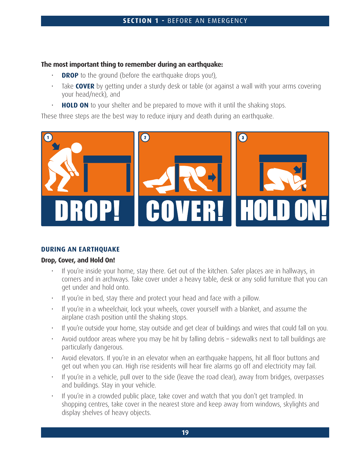## **The most important thing to remember during an earthquake:**

- **DROP** to the ground (before the earthquake drops you!),
- Take **COVER** by getting under a sturdy desk or table (or against a wall with your arms covering your head/neck), and
- **HOLD ON** to your shelter and be prepared to move with it until the shaking stops.

These three steps are the best way to reduce injury and death during an earthquake.



## **DURING AN EARTHQUAKE**

## **Drop, Cover, and Hold On!**

- If you're inside your home, stay there. Get out of the kitchen. Safer places are in hallways, in corners and in archways. Take cover under a heavy table, desk or any solid furniture that you can get under and hold onto.
- If you're in bed, stay there and protect your head and face with a pillow.
- If you're in a wheelchair, lock your wheels, cover yourself with a blanket, and assume the airplane crash position until the shaking stops.
- If you're outside your home, stay outside and get clear of buildings and wires that could fall on you.
- Avoid outdoor areas where you may be hit by falling debris sidewalks next to tall buildings are particularly dangerous.
- Avoid elevators. If you're in an elevator when an earthquake happens, hit all floor buttons and get out when you can. High rise residents will hear fire alarms go off and electricity may fail.
- If you're in a vehicle, pull over to the side (leave the road clear), away from bridges, overpasses and buildings. Stay in your vehicle.
- If you're in a crowded public place, take cover and watch that you don't get trampled. In shopping centres, take cover in the nearest store and keep away from windows, skylights and display shelves of heavy objects.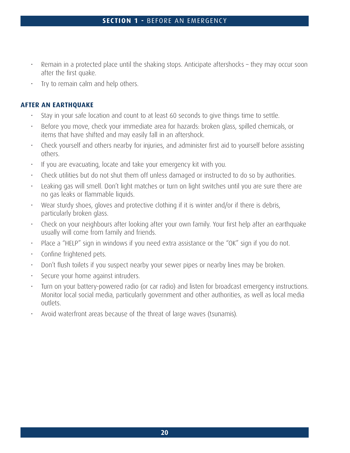- Remain in a protected place until the shaking stops. Anticipate aftershocks they may occur soon after the first quake.
- Try to remain calm and help others.

## **AFTER AN EARTHQUAKE**

- Stay in your safe location and count to at least 60 seconds to give things time to settle.
- Before you move, check your immediate area for hazards: broken glass, spilled chemicals, or items that have shifted and may easily fall in an aftershock.
- Check yourself and others nearby for injuries, and administer first aid to yourself before assisting others.
- If you are evacuating, locate and take your emergency kit with you.
- Check utilities but do not shut them off unless damaged or instructed to do so by authorities.
- Leaking gas will smell. Don't light matches or turn on light switches until you are sure there are no gas leaks or flammable liquids.
- Wear sturdy shoes, gloves and protective clothing if it is winter and/or if there is debris, particularly broken glass.
- Check on your neighbours after looking after your own family. Your first help after an earthquake usually will come from family and friends.
- Place a "HELP" sign in windows if you need extra assistance or the "OK" sign if you do not.
- Confine frightened pets.
- Don't flush toilets if you suspect nearby your sewer pipes or nearby lines may be broken.
- Secure your home against intruders.
- Turn on your battery-powered radio (or car radio) and listen for broadcast emergency instructions. Monitor local social media, particularly government and other authorities, as well as local media outlets.
- Avoid waterfront areas because of the threat of large waves (tsunamis).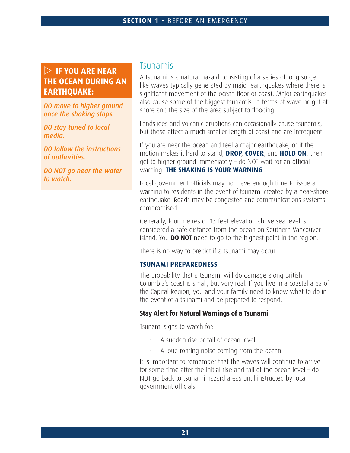## $\triangleright$  IF YOU ARE NEAR **THE OCEAN DURING AN EARTHQUAKE:**

*DO move to higher ground once the shaking stops.*

*DO stay tuned to local media.*

*DO follow the instructions of authorities.*

*DO NOT go near the water to watch.*

## Tsunamis

A tsunami is a natural hazard consisting of a series of long surgelike waves typically generated by major earthquakes where there is significant movement of the ocean floor or coast. Major earthquakes also cause some of the biggest tsunamis, in terms of wave height at shore and the size of the area subject to flooding.

Landslides and volcanic eruptions can occasionally cause tsunamis, but these affect a much smaller length of coast and are infrequent.

If you are near the ocean and feel a major earthquake, or if the motion makes it hard to stand, **DROP**, **COVER**, and **HOLD ON**, then get to higher ground immediately – do NOT wait for an official warning. **THE SHAKING IS YOUR WARNING**.

Local government officials may not have enough time to issue a warning to residents in the event of tsunami created by a near-shore earthquake. Roads may be congested and communications systems compromised.

Generally, four metres or 13 feet elevation above sea level is considered a safe distance from the ocean on Southern Vancouver Island. You **DO NOT** need to go to the highest point in the region.

There is no way to predict if a tsunami may occur.

### **TSUNAMI PREPAREDNESS**

The probability that a tsunami will do damage along British Columbia's coast is small, but very real. If you live in a coastal area of the Capital Region, you and your family need to know what to do in the event of a tsunami and be prepared to respond.

## **Stay Alert for Natural Warnings of a Tsunami**

Tsunami signs to watch for:

- A sudden rise or fall of ocean level
- A loud roaring noise coming from the ocean

It is important to remember that the waves will continue to arrive for some time after the initial rise and fall of the ocean level – do NOT go back to tsunami hazard areas until instructed by local government officials.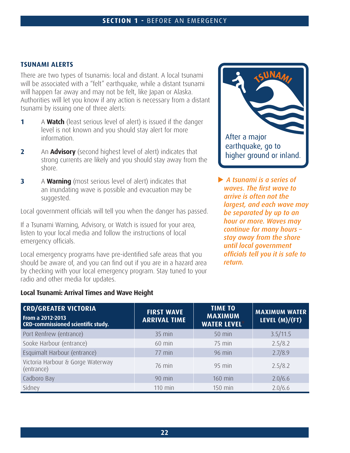#### **TSUNAMI ALERTS**

There are two types of tsunamis: local and distant. A local tsunami will be associated with a "felt" earthquake, while a distant tsunami will happen far away and may not be felt, like Japan or Alaska. Authorities will let you know if any action is necessary from a distant tsunami by issuing one of three alerts:

- **1** A **Watch** (least serious level of alert) is issued if the danger level is not known and you should stay alert for more information.
- **2** An **Advisory** (second highest level of alert) indicates that strong currents are likely and you should stay away from the shore.
- **3** A **Warning** (most serious level of alert) indicates that an inundating wave is possible and evacuation may be suggested.

Local government officials will tell you when the danger has passed.

If a Tsunami Warning, Advisory, or Watch is issued for your area, listen to your local media and follow the instructions of local emergency officials.

Local emergency programs have pre-identified safe areas that you should be aware of, and you can find out if you are in a hazard area by checking with your local emergency program. Stay tuned to your radio and other media for updates.



u *A tsunami is a series of waves. The first wave to arrive is often not the largest, and each wave may be separated by up to an hour or more. Waves may continue for many hours – stay away from the shore until local government officials tell you it is safe to return.*

| <b>CRD/GREATER VICTORIA</b><br>From a 2012-2013<br><b>CRD-commissioned scientific study.</b> | <b>FIRST WAVE</b><br><b>ARRIVAL TIME</b> | <b>TIME TO</b><br><b>MAXIMUM</b><br><b>WATER LEVEL®</b> | <b>MAXIMUM WATER</b><br>LEVEL (M)/(FT) |
|----------------------------------------------------------------------------------------------|------------------------------------------|---------------------------------------------------------|----------------------------------------|
| Port Renfrew (entrance)                                                                      | $35$ min                                 | $50$ min                                                | 3.5/11.5                               |
| Sooke Harbour (entrance)                                                                     | $60$ min                                 | $75$ min                                                | 2.5/8.2                                |
| Esquimalt Harbour (entrance)                                                                 | $77$ min                                 | $96$ min                                                | 2.7/8.9                                |
| Victoria Harbour & Gorge Waterway<br>(entrance)                                              | $76 \text{ min}$                         | $95$ min                                                | 2.5/8.2                                |
| Cadboro Bay                                                                                  | $90$ min                                 | $160$ min                                               | 2.0/6.6                                |
| Sidney                                                                                       | $110$ min                                | $150$ min                                               | 2.0/6.6                                |

#### **Local Tsunami: Arrival Times and Wave Height**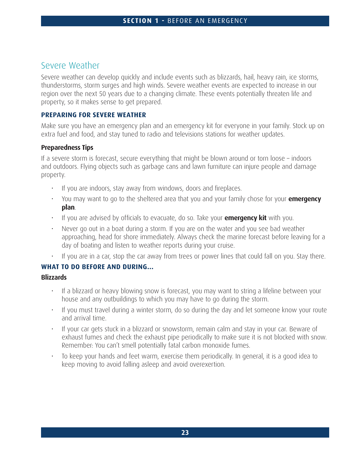## Severe Weather

Severe weather can develop quickly and include events such as blizzards, hail, heavy rain, ice storms, thunderstorms, storm surges and high winds. Severe weather events are expected to increase in our region over the next 50 years due to a changing climate. These events potentially threaten life and property, so it makes sense to get prepared.

## **PREPARING FOR SEVERE WEATHER**

Make sure you have an emergency plan and an emergency kit for everyone in your family. Stock up on extra fuel and food, and stay tuned to radio and televisions stations for weather updates.

## **Preparedness Tips**

If a severe storm is forecast, secure everything that might be blown around or torn loose – indoors and outdoors. Flying objects such as garbage cans and lawn furniture can injure people and damage property.

- If you are indoors, stay away from windows, doors and fireplaces.
- You may want to go to the sheltered area that you and your family chose for your **emergency plan**.
- If you are advised by officials to evacuate, do so. Take your **emergency kit** with you.
- Never go out in a boat during a storm. If you are on the water and you see bad weather approaching, head for shore immediately. Always check the marine forecast before leaving for a day of boating and listen to weather reports during your cruise.
- If you are in a car, stop the car away from trees or power lines that could fall on you. Stay there.

## **WHAT TO DO BEFORE AND DURING…**

### **Blizzards**

- If a blizzard or heavy blowing snow is forecast, you may want to string a lifeline between your house and any outbuildings to which you may have to go during the storm.
- If you must travel during a winter storm, do so during the day and let someone know your route and arrival time.
- If your car gets stuck in a blizzard or snowstorm, remain calm and stay in your car. Beware of exhaust fumes and check the exhaust pipe periodically to make sure it is not blocked with snow. Remember: You can't smell potentially fatal carbon monoxide fumes.
- To keep your hands and feet warm, exercise them periodically. In general, it is a good idea to keep moving to avoid falling asleep and avoid overexertion.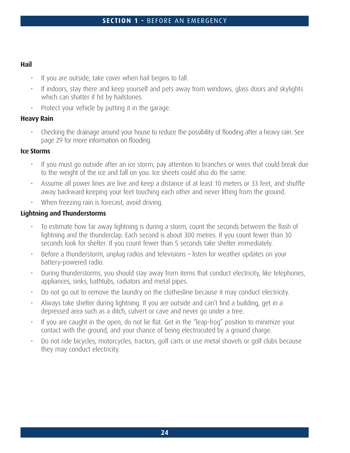## **Hail**

- If you are outside, take cover when hail begins to fall.
- If indoors, stay there and keep yourself and pets away from windows, glass doors and skylights which can shatter if hit by hailstones.
- Protect your vehicle by putting it in the garage.

## **Heavy Rain**

• Checking the drainage around your house to reduce the possibility of flooding after a heavy rain. See page 29 for more information on flooding.

## **Ice Storms**

- If you must go outside after an ice storm, pay attention to branches or wires that could break due to the weight of the ice and fall on you. Ice sheets could also do the same.
- Assume all power lines are live and keep a distance of at least 10 meters or 33 feet, and shuffle away backward keeping your feet touching each other and never lifting from the ground.
- When freezing rain is forecast, avoid driving.

## **Lightning and Thunderstorms**

- To estimate how far away lightning is during a storm, count the seconds between the flash of lightning and the thunderclap. Each second is about 300 metres. If you count fewer than 30 seconds look for shelter. If you count fewer than 5 seconds take shelter immediately.
- Before a thunderstorm, unplug radios and televisions listen for weather updates on your battery-powered radio.
- During thunderstorms, you should stay away from items that conduct electricity, like telephones, appliances, sinks, bathtubs, radiators and metal pipes.
- Do not go out to remove the laundry on the clothesline because it may conduct electricity.
- Always take shelter during lightning. If you are outside and can't find a building, get in a depressed area such as a ditch, culvert or cave and never go under a tree.
- If you are caught in the open, do not lie flat. Get in the "leap-frog" position to minimize your contact with the ground, and your chance of being electrocuted by a ground charge.
- Do not ride bicycles, motorcycles, tractors, golf carts or use metal shovels or golf clubs because they may conduct electricity.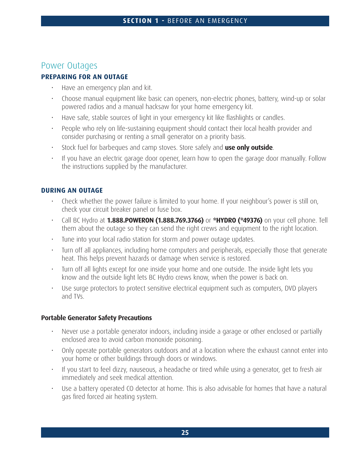## Power Outages

## **PREPARING FOR AN OUTAGE**

- Have an emergency plan and kit.
- Choose manual equipment like basic can openers, non-electric phones, battery, wind-up or solar powered radios and a manual hacksaw for your home emergency kit.
- Have safe, stable sources of light in your emergency kit like flashlights or candles.
- People who rely on life-sustaining equipment should contact their local health provider and consider purchasing or renting a small generator on a priority basis.
- Stock fuel for barbeques and camp stoves. Store safely and **use only outside**.
- If you have an electric garage door opener, learn how to open the garage door manually. Follow the instructions supplied by the manufacturer.

## **DURING AN OUTAGE**

- Check whether the power failure is limited to your home. If your neighbour's power is still on, check your circuit breaker panel or fuse box.
- Call BC Hydro at **1.888.POWERON (1.888.769.3766)** or \***HYDRO (**\***49376)** on your cell phone. Tell them about the outage so they can send the right crews and equipment to the right location.
- Tune into your local radio station for storm and power outage updates.
- Turn off all appliances, including home computers and peripherals, especially those that generate heat. This helps prevent hazards or damage when service is restored.
- Turn off all lights except for one inside your home and one outside. The inside light lets you know and the outside light lets BC Hydro crews know, when the power is back on.
- Use surge protectors to protect sensitive electrical equipment such as computers, DVD players and TVs.

## **Portable Generator Safety Precautions**

- Never use a portable generator indoors, including inside a garage or other enclosed or partially enclosed area to avoid carbon monoxide poisoning.
- Only operate portable generators outdoors and at a location where the exhaust cannot enter into your home or other buildings through doors or windows.
- If you start to feel dizzy, nauseous, a headache or tired while using a generator, get to fresh air immediately and seek medical attention.
- Use a battery operated CO detector at home. This is also advisable for homes that have a natural gas fired forced air heating system.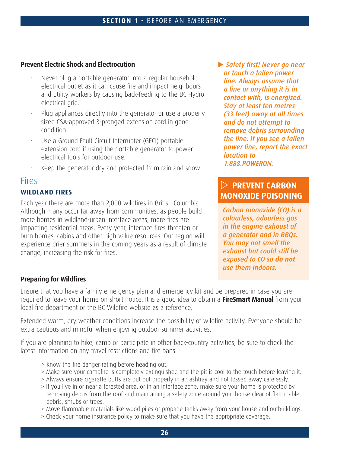## **Prevent Electric Shock and Electrocution**

- Never plug a portable generator into a regular household electrical outlet as it can cause fire and impact neighbours and utility workers by causing back-feeding to the BC Hydro electrical grid.
- Plug appliances directly into the generator or use a properly sized CSA-approved 3-pronged extension cord in good condition.
- Use a Ground Fault Circuit Interrupter (GFCI) portable extension cord if using the portable generator to power electrical tools for outdoor use.
- Keep the generator dry and protected from rain and snow.

## Fires

### **WILDLAND FIRES**

Each year there are more than 2,000 wildfires in British Columbia. Although many occur far away from communities, as people build more homes in wildland-urban interface areas, more fires are impacting residential areas. Every year, interface fires threaten or burn homes, cabins and other high value resources. Our region will experience drier summers in the coming years as a result of climate change, increasing the risk for fires.

u *Safety first! Never go near or touch a fallen power line. Always assume that a line or anything it is in contact with, is energized. Stay at least ten metres (33 feet) away at all times and do not attempt to remove debris surrounding the line. If you see a fallen power line, report the exact location to 1.888.POWERON.*

## w **PREVENT CARBON MONOXIDE POISONING**

*Carbon monoxide (CO) is a colourless, odourless gas in the engine exhaust of a generator and in BBQs. You may not smell the exhaust but could still be exposed to CO so do not use them indoors.*

## **Preparing for Wildfires**

Ensure that you have a family emergency plan and emergency kit and be prepared in case you are required to leave your home on short notice. It is a good idea to obtain a **FireSmart Manual** from your local fire department or the BC Wildfire website as a reference.

Extended warm, dry weather conditions increase the possibility of wildfire activity. Everyone should be extra cautious and mindful when enjoying outdoor summer activities.

If you are planning to hike, camp or participate in other back-country activities, be sure to check the latest information on any travel restrictions and fire bans:

- > Know the fire danger rating before heading out.
- > Make sure your campfire is completely extinguished and the pit is cool to the touch before leaving it.
- > Always ensure cigarette butts are put out properly in an ashtray and not tossed away carelessly.
- > If you live in or near a forested area, or in an interface zone, make sure your home is protected by removing debris from the roof and maintaining a safety zone around your house clear of flammable debris, shrubs or trees.
- > Move flammable materials like wood piles or propane tanks away from your house and outbuildings.
- > Check your home insurance policy to make sure that you have the appropriate coverage.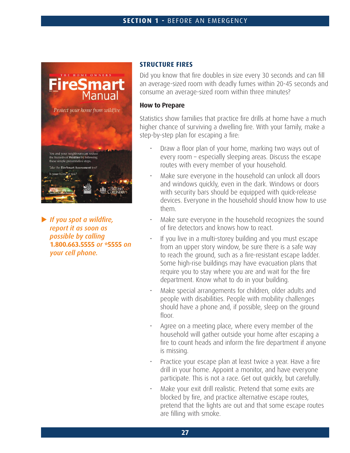## **SECTION 1 -** BEFORE AN EMERGENCY



▶ *If you spot a wildfire, report it as soon as possible by calling*  **1.800.663.5555** *or* \***5555** *on your cell phone.*

#### **STRUCTURE FIRES**

Did you know that fire doubles in size every 30 seconds and can fill an average-sized room with deadly fumes within 20-45 seconds and consume an average-sized room within three minutes?

#### **How to Prepare**

Statistics show families that practice fire drills at home have a much higher chance of surviving a dwelling fire. With your family, make a step-by-step plan for escaping a fire:

- Draw a floor plan of your home, marking two ways out of every room – especially sleeping areas. Discuss the escape routes with every member of your household.
- Make sure everyone in the household can unlock all doors and windows quickly, even in the dark. Windows or doors with security bars should be equipped with quick-release devices. Everyone in the household should know how to use them.
- Make sure everyone in the household recognizes the sound of fire detectors and knows how to react.
- If you live in a multi-storey building and you must escape from an upper story window, be sure there is a safe way to reach the ground, such as a fire-resistant escape ladder. Some high-rise buildings may have evacuation plans that require you to stay where you are and wait for the fire department. Know what to do in your building.
- Make special arrangements for children, older adults and people with disabilities. People with mobility challenges should have a phone and, if possible, sleep on the ground floor.
- Agree on a meeting place, where every member of the household will gather outside your home after escaping a fire to count heads and inform the fire department if anyone is missing.
- Practice your escape plan at least twice a year. Have a fire drill in your home. Appoint a monitor, and have everyone participate. This is not a race. Get out quickly, but carefully.
- Make your exit drill realistic. Pretend that some exits are blocked by fire, and practice alternative escape routes, pretend that the lights are out and that some escape routes are filling with smoke.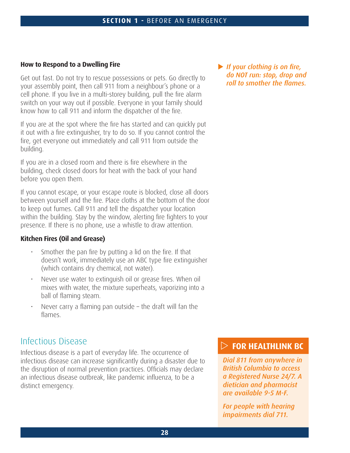#### **How to Respond to a Dwelling Fire**

Get out fast. Do not try to rescue possessions or pets. Go directly to your assembly point, then call 911 from a neighbour's phone or a cell phone. If you live in a multi-storey building, pull the fire alarm switch on your way out if possible. Everyone in your family should know how to call 911 and inform the dispatcher of the fire.

If you are at the spot where the fire has started and can quickly put it out with a fire extinguisher, try to do so. If you cannot control the fire, get everyone out immediately and call 911 from outside the building.

If you are in a closed room and there is fire elsewhere in the building, check closed doors for heat with the back of your hand before you open them.

If you cannot escape, or your escape route is blocked, close all doors between yourself and the fire. Place cloths at the bottom of the door to keep out fumes. Call 911 and tell the dispatcher your location within the building. Stay by the window, alerting fire fighters to your presence. If there is no phone, use a whistle to draw attention.

#### **Kitchen Fires (Oil and Grease)**

- Smother the pan fire by putting a lid on the fire. If that doesn't work, immediately use an ABC type fire extinguisher (which contains dry chemical, not water).
- Never use water to extinguish oil or grease fires. When oil mixes with water, the mixture superheats, vaporizing into a ball of flaming steam.
- Never carry a flaming pan outside the draft will fan the flames.

## Infectious Disease

Infectious disease is a part of everyday life. The occurrence of infectious disease can increase significantly during a disaster due to the disruption of normal prevention practices. Officials may declare an infectious disease outbreak, like pandemic influenza, to be a distinct emergency.

**If your clothing is on fire,** *do NOT run: stop, drop and roll to smother the flames.*

## $\triangleright$  FOR HEALTHLINK BC

*Dial 811 from anywhere in British Columbia to access a Registered Nurse 24/7. A dietician and pharmacist are available 9-5 M-F.*

*For people with hearing impairments dial 711.*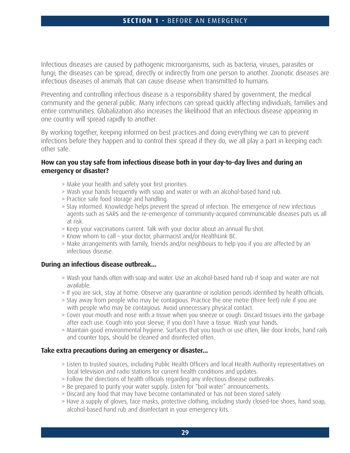Infectious diseases are caused by pathogenic microorganisms, such as bacteria, viruses, parasites or fungi; the diseases can be spread, directly or indirectly from one person to another. Zoonotic diseases are infectious diseases of animals that can cause disease when transmitted to humans.

Preventing and controlling infectious disease is a responsibility shared by government, the medical community and the general public. Many infections can spread quickly affecting individuals, families and entire communities. Globalization also increases the likelihood that an infectious disease appearing in one country will spread rapidly to another.

By working together, keeping informed on best practices and doing everything we can to prevent infections before they happen and to control their spread if they do, we all play a part in keeping each other safe.

## **How can you stay safe from infectious disease both in your day-to-day lives and during an emergency or disaster?**

- > Make your health and safety your first priorities.
- > Wash your hands frequently with soap and water or with an alcohol-based hand rub.
- > Practice safe food storage and handling.
- > Stay informed. Knowledge helps prevent the spread of infection. The emergence of new infectious agents such as SARS and the re-emergence of community-acquired communicable diseases puts us all at risk.
- > Keep your vaccinations current. Talk with your doctor about an annual flu shot.
- > Know whom to call your doctor, pharmacist and/or HealthLink BC.
- > Make arrangements with family, friends and/or neighbours to help you if you are affected by an infectious disease.

### **During an infectious disease outbreak...**

- > Wash your hands often with soap and water. Use an alcohol-based hand rub if soap and water are not available.
- > If you are sick, stay at home. Observe any quarantine or isolation periods identified by health officials.
- > Stay away from people who may be contagious. Practice the one metre (three feet) rule if you are with people who may be contagious. Avoid unnecessary physical contact.
- > Cover your mouth and nose with a tissue when you sneeze or cough. Discard tissues into the garbage after each use. Cough into your sleeve, if you don't have a tissue. Wash your hands.
- > Maintain good environmental hygiene. Surfaces that you touch or use often, like door knobs, hand rails and counter tops, should be cleaned and disinfected often.

### **Take extra precautions during an emergency or disaster...**

- > Listen to trusted sources, including Public Health Officers and local Health Authority representatives on local television and radio stations for current health conditions and updates.
- > Follow the directions of health officials regarding any infectious disease outbreaks.
- > Be prepared to purify your water supply. Listen for "boil water" announcements.
- > Discard any food that may have become contaminated or has not been stored safely.
- > Have a supply of gloves, face masks, protective clothing, including sturdy closed-toe shoes, hand soap, alcohol-based hand rub and disinfectant in your emergency kits.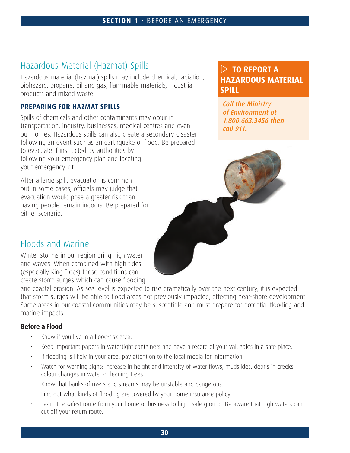## Hazardous Material (Hazmat) Spills

Hazardous material (hazmat) spills may include chemical, radiation, biohazard, propane, oil and gas, flammable materials, industrial products and mixed waste.

## **PREPARING FOR HAZMAT SPILLS**

Spills of chemicals and other contaminants may occur in transportation, industry, businesses, medical centres and even our homes. Hazardous spills can also create a secondary disaster following an event such as an earthquake or flood. Be prepared to evacuate if instructed by authorities by following your emergency plan and locating your emergency kit.

After a large spill, evacuation is common but in some cases, officials may judge that evacuation would pose a greater risk than having people remain indoors. Be prepared for either scenario.

## $\triangleright$  **TO REPORT A HAZARDOUS MATERIAL SPILL**

*Call the Ministry of Environment at 1.800.663.3456 then call 911.*



## Floods and Marine

Winter storms in our region bring high water and waves. When combined with high tides (especially King Tides) these conditions can create storm surges which can cause flooding

and coastal erosion. As sea level is expected to rise dramatically over the next century, it is expected that storm surges will be able to flood areas not previously impacted, affecting near-shore development. Some areas in our coastal communities may be susceptible and must prepare for potential flooding and marine impacts.

### **Before a Flood**

- Know if you live in a flood-risk area.
- Keep important papers in watertight containers and have a record of your valuables in a safe place.
- If flooding is likely in your area, pay attention to the local media for information.
- Watch for warning signs: Increase in height and intensity of water flows, mudslides, debris in creeks, colour changes in water or leaning trees.
- Know that banks of rivers and streams may be unstable and dangerous.
- Find out what kinds of flooding are covered by your home insurance policy.
- Learn the safest route from your home or business to high, safe ground. Be aware that high waters can cut off your return route.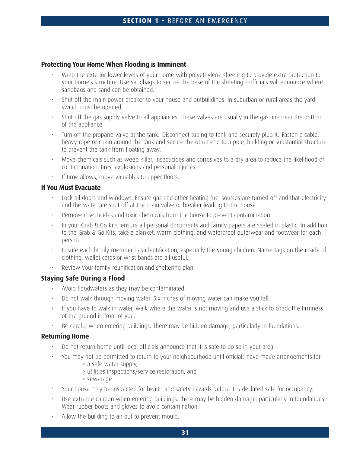#### **Protecting Your Home When Flooding is Imminent**

- Wrap the exterior lower levels of your home with polyethylene sheeting to provide extra protection to your home's structure. Use sandbags to secure the base of the sheeting – officials will announce where sandbags and sand can be obtained.
- Shut off the main power breaker to your house and outbuildings. In suburban or rural areas the yard switch must be opened.
- Shut off the gas supply valve to all appliances. These valves are usually in the gas line near the bottom of the appliance.
- Turn off the propane valve at the tank. Disconnect tubing to tank and securely plug it. Fasten a cable, heavy rope or chain around the tank and secure the other end to a pole, building or substantial structure to prevent the tank from floating away.
- Move chemicals such as weed killer, insecticides and corrosives to a dry area to reduce the likelihood of contamination, fires, explosions and personal injuries.
- If time allows, move valuables to upper floors.

#### **If You Must Evacuate**

- Lock all doors and windows. Ensure gas and other heating fuel sources are turned off and that electricity and the water are shut off at the main valve or breaker leading to the house.
- Remove insecticides and toxic chemicals from the house to prevent contamination.
- In your Grab & Go Kits, ensure all personal documents and family papers are sealed in plastic. In addition to the Grab & Go Kits, take a blanket, warm clothing, and waterproof outerwear and footwear for each person.
- Ensure each family member has identification, especially the young children. Name tags on the inside of clothing, wallet cards or wrist bands are all useful.
- Review your family reunification and sheltering plan.

### **Staying Safe During a Flood**

- Avoid floodwaters as they may be contaminated.
- Do not walk through moving water. Six inches of moving water can make you fall.
- If you have to walk in water, walk where the water is not moving and use a stick to check the firmness of the ground in front of you.
- Be careful when entering buildings. There may be hidden damage, particularly in foundations.

### **Returning Home**

- Do not return home until local officials announce that it is safe to do so in your area.
	- You may not be permitted to return to your neighbourhood until officials have made arrangements for: > a safe water supply,
		- > utilities inspections/service restoration, and
		- > sewerage
- Your house may be inspected for health and safety hazards before it is declared safe for occupancy.
- Use extreme caution when entering buildings: there may be hidden damage, particularly in foundations. Wear rubber boots and gloves to avoid contamination.
- Allow the building to air out to prevent mould.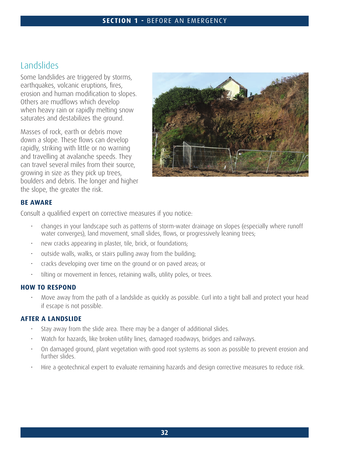## Landslides

Some landslides are triggered by storms, earthquakes, volcanic eruptions, fires, erosion and human modification to slopes. Others are mudflows which develop when heavy rain or rapidly melting snow saturates and destabilizes the ground.

Masses of rock, earth or debris move down a slope. These flows can develop rapidly, striking with little or no warning and travelling at avalanche speeds. They can travel several miles from their source, growing in size as they pick up trees, boulders and debris. The longer and higher the slope, the greater the risk.



## **BE AWARE**

Consult a qualified expert on corrective measures if you notice:

- changes in your landscape such as patterns of storm-water drainage on slopes (especially where runoff water converges), land movement, small slides, flows, or progressively leaning trees;
- new cracks appearing in plaster, tile, brick, or foundations;
- outside walls, walks, or stairs pulling away from the building;
- cracks developing over time on the ground or on paved areas; or
- tilting or movement in fences, retaining walls, utility poles, or trees.

### **HOW TO RESPOND**

• Move away from the path of a landslide as quickly as possible. Curl into a tight ball and protect your head if escape is not possible.

### **AFTER A LANDSLIDE**

- Stay away from the slide area. There may be a danger of additional slides.
- Watch for hazards, like broken utility lines, damaged roadways, bridges and railways.
- On damaged ground, plant vegetation with good root systems as soon as possible to prevent erosion and further slides.
- Hire a geotechnical expert to evaluate remaining hazards and design corrective measures to reduce risk.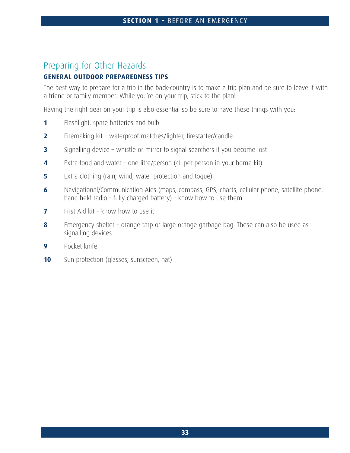## Preparing for Other Hazards

## **GENERAL OUTDOOR PREPAREDNESS TIPS**

The best way to prepare for a trip in the back-country is to make a trip plan and be sure to leave it with a friend or family member. While you're on your trip, stick to the plan!

Having the right gear on your trip is also essential so be sure to have these things with you:

- **1** Flashlight, spare batteries and bulb
- **2** Firemaking kit waterproof matches/lighter, firestarter/candle
- **3** Signalling device whistle or mirror to signal searchers if you become lost
- **4** Extra food and water one litre/person (4L per person in your home kit)
- **5** Extra clothing (rain, wind, water protection and toque)
- **6** Navigational/Communication Aids (maps, compass, GPS, charts, cellular phone, satellite phone, hand held radio - fully charged battery) - know how to use them
- **7** First Aid kit know how to use it
- **8** Emergency shelter orange tarp or large orange garbage bag. These can also be used as signalling devices
- **9** Pocket knife
- **10** Sun protection (glasses, sunscreen, hat)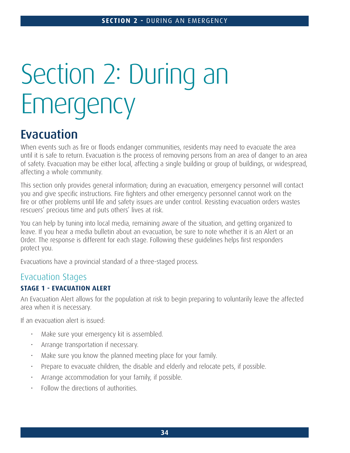# Section 2: During an Emergency

## Evacuation

When events such as fire or floods endanger communities, residents may need to evacuate the area until it is safe to return. Evacuation is the process of removing persons from an area of danger to an area of safety. Evacuation may be either local, affecting a single building or group of buildings, or widespread, affecting a whole community.

This section only provides general information; during an evacuation, emergency personnel will contact you and give specific instructions. Fire fighters and other emergency personnel cannot work on the fire or other problems until life and safety issues are under control. Resisting evacuation orders wastes rescuers' precious time and puts others' lives at risk.

You can help by tuning into local media, remaining aware of the situation, and getting organized to leave. If you hear a media bulletin about an evacuation, be sure to note whether it is an Alert or an Order. The response is different for each stage. Following these guidelines helps first responders protect you.

Evacuations have a provincial standard of a three-staged process.

## Evacuation Stages

## **STAGE 1 - EVACUATION ALERT**

An Evacuation Alert allows for the population at risk to begin preparing to voluntarily leave the affected area when it is necessary.

If an evacuation alert is issued:

- Make sure your emergency kit is assembled.
- Arrange transportation if necessary.
- Make sure you know the planned meeting place for your family.
- Prepare to evacuate children, the disable and elderly and relocate pets, if possible.
- Arrange accommodation for your family, if possible.
- Follow the directions of authorities.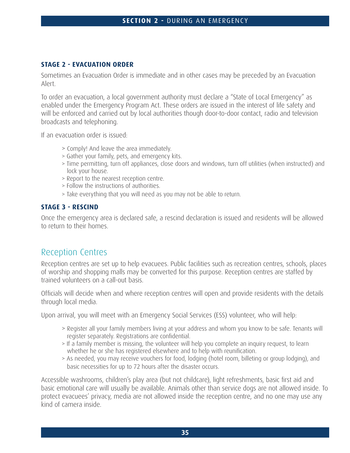## **STAGE 2 - EVACUATION ORDER**

Sometimes an Evacuation Order is immediate and in other cases may be preceded by an Evacuation Alert.

To order an evacuation, a local government authority must declare a "State of Local Emergency" as enabled under the Emergency Program Act. These orders are issued in the interest of life safety and will be enforced and carried out by local authorities though door-to-door contact, radio and television broadcasts and telephoning.

If an evacuation order is issued:

- > Comply! And leave the area immediately.
- > Gather your family, pets, and emergency kits.
- > Time permitting, turn off appliances, close doors and windows, turn off utilities (when instructed) and lock your house.
- > Report to the nearest reception centre.
- > Follow the instructions of authorities.
- > Take everything that you will need as you may not be able to return.

## **STAGE 3 - RESCIND**

Once the emergency area is declared safe, a rescind declaration is issued and residents will be allowed to return to their homes.

## Reception Centres

Reception centres are set up to help evacuees. Public facilities such as recreation centres, schools, places of worship and shopping malls may be converted for this purpose. Reception centres are staffed by trained volunteers on a call-out basis.

Officials will decide when and where reception centres will open and provide residents with the details through local media.

Upon arrival, you will meet with an Emergency Social Services (ESS) volunteer, who will help:

- > Register all your family members living at your address and whom you know to be safe. Tenants will register separately. Registrations are confidential.
- > If a family member is missing, the volunteer will help you complete an inquiry request, to learn whether he or she has registered elsewhere and to help with reunification.
- > As needed, you may receive vouchers for food, lodging (hotel room, billeting or group lodging), and basic necessities for up to 72 hours after the disaster occurs.

Accessible washrooms, children's play area (but not childcare), light refreshments, basic first aid and basic emotional care will usually be available. Animals other than service dogs are not allowed inside. To protect evacuees' privacy, media are not allowed inside the reception centre, and no one may use any kind of camera inside.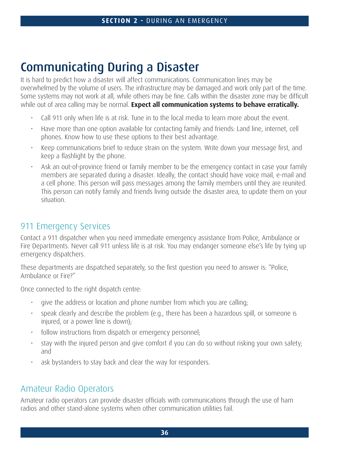# Communicating During a Disaster

It is hard to predict how a disaster will affect communications. Communication lines may be overwhelmed by the volume of users. The infrastructure may be damaged and work only part of the time. Some systems may not work at all, while others may be fine. Calls within the disaster zone may be difficult while out of area calling may be normal. **Expect all communication systems to behave erratically.**

- Call 911 only when life is at risk. Tune in to the local media to learn more about the event.
- Have more than one option available for contacting family and friends: Land line, internet, cell phones. Know how to use these options to their best advantage.
- Keep communications brief to reduce strain on the system. Write down your message first, and keep a flashlight by the phone.
- Ask an out-of-province friend or family member to be the emergency contact in case your family members are separated during a disaster. Ideally, the contact should have voice mail, e-mail and a cell phone. This person will pass messages among the family members until they are reunited. This person can notify family and friends living outside the disaster area, to update them on your situation.

## 911 Emergency Services

Contact a 911 dispatcher when you need immediate emergency assistance from Police, Ambulance or Fire Departments. Never call 911 unless life is at risk. You may endanger someone else's life by tying up emergency dispatchers.

These departments are dispatched separately, so the first question you need to answer is: "Police, Ambulance or Fire?"

Once connected to the right dispatch centre:

- give the address or location and phone number from which you are calling;
- speak clearly and describe the problem (e.g., there has been a hazardous spill, or someone is injured, or a power line is down):
- follow instructions from dispatch or emergency personnel;
- stay with the injured person and give comfort if you can do so without risking your own safety; and
- ask bystanders to stay back and clear the way for responders.

## Amateur Radio Operators

Amateur radio operators can provide disaster officials with communications through the use of ham radios and other stand-alone systems when other communication utilities fail.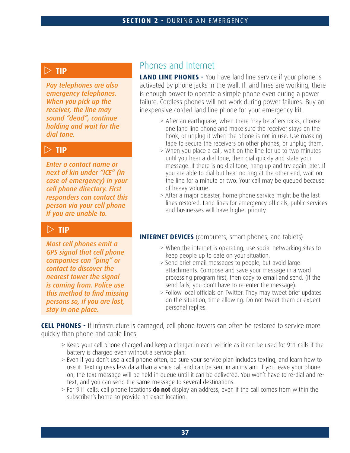## $\triangleright$  TIP

*Pay telephones are also emergency telephones. When you pick up the receiver, the line may sound "dead", continue holding and wait for the dial tone.*

## $\triangleright$  TIP

*Enter a contact name or next of kin under "ICE" (in case of emergency) in your cell phone directory. First responders can contact this person via your cell phone if you are unable to.* 

#### $\triangleright$  TIP

*Most cell phones emit a GPS signal that cell phone companies can "ping" or contact to discover the nearest tower the signal is coming from. Police use this method to find missing persons so, if you are lost, stay in one place.* 

# Phones and Internet

**LAND LINE PHONES -** You have land line service if your phone is activated by phone jacks in the wall. If land lines are working, there is enough power to operate a simple phone even during a power failure. Cordless phones will not work during power failures. Buy an inexpensive corded land line phone for your emergency kit.

- > After an earthquake, when there may be aftershocks, choose one land line phone and make sure the receiver stays on the hook, or unplug it when the phone is not in use. Use masking tape to secure the receivers on other phones, or unplug them.
- > When you place a call, wait on the line for up to two minutes until you hear a dial tone, then dial quickly and state your message. If there is no dial tone, hang up and try again later. If you are able to dial but hear no ring at the other end, wait on the line for a minute or two. Your call may be queued because of heavy volume.
- > After a major disaster, home phone service might be the last lines restored. Land lines for emergency officials, public services and businesses will have higher priority.

#### **INTERNET DEVICES** (computers, smart phones, and tablets)

- > When the internet is operating, use social networking sites to keep people up to date on your situation.
- > Send brief email messages to people, but avoid large attachments. Compose and save your message in a word processing program first, then copy to email and send. (If the send fails, you don't have to re-enter the message).
- > Follow local officials on Twitter. They may tweet brief updates on the situation, time allowing. Do not tweet them or expect personal replies.

**CELL PHONES -** If infrastructure is damaged, cell phone towers can often be restored to service more quickly than phone and cable lines.

- > Keep your cell phone charged and keep a charger in each vehicle as it can be used for 911 calls if the battery is charged even without a service plan.
- > Even if you don't use a cell phone often, be sure your service plan includes texting, and learn how to use it. Texting uses less data than a voice call and can be sent in an instant. If you leave your phone on, the text message will be held in queue until it can be delivered. You won't have to re-dial and re text, and you can send the same message to several destinations.
- > For 911 calls, cell phone locations **do not** display an address, even if the call comes from within the subscriber's home so provide an exact location.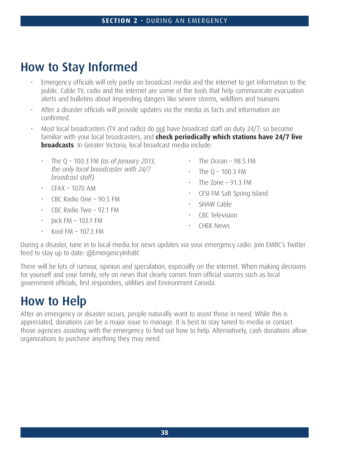# How to Stay Informed

- Emergency officials will rely partly on broadcast media and the internet to get information to the public. Cable TV, radio and the internet are some of the tools that help communicate evacuation alerts and bulletins about impending dangers like severe storms, wildfires and tsunami.
- After a disaster officials will provide updates via the media as facts and information are confirmed.
- Most local broadcasters (TV and radio) do not have broadcast staff on duty 24/7; so become familiar with your local broadcasters, and **check periodically which stations have 24/7 live broadcasts**. In Greater Victoria, local broadcast media include:
	- The Q 100.3 FM *(as of January 2013, the only local broadcaster with 24/7 broadcast staff)*
	- CFAX 1070 AM
	- CBC Radio One 90.5 FM
	- CBC Radio Two 92.1 FM
	- Jack FM 103.1 FM
	- Kool FM  $-$  107.3 FM
- $\cdot$  The Ocean 98.5 FM
- The Q  $-$  100.3 FM
- The Zone  $-91.3$  FM
- CFSI FM Salt Spring Island
- SHAW Cable
- CBC Television
- CHEK News

During a disaster, tune in to local media for news updates via your emergency radio. Join EMBC's Twitter feed to stay up to date: @EmergencyInfoBC

There will be lots of rumour, opinion and speculation, especially on the internet. When making decisions for yourself and your family, rely on news that clearly comes from official sources such as local government officials, first responders, utilities and Environment Canada.

# How to Help

After an emergency or disaster occurs, people naturally want to assist those in need. While this is appreciated, donations can be a major issue to manage. It is best to stay tuned to media or contact those agencies assisting with the emergency to find out how to help. Alternatively, cash donations allow organizations to purchase anything they may need.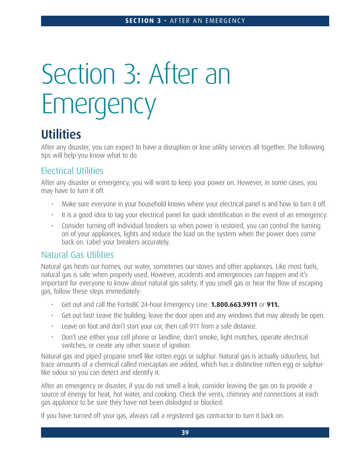# Section 3: After an **Emergency**

# **Utilities**

After any disaster, you can expect to have a disruption or lose utility services all together. The following tips will help you know what to do.

# Electrical Utilities

After any disaster or emergency, you will want to keep your power on. However, in some cases, you may have to turn it off.

- Make sure everyone in your household knows where your electrical panel is and how to turn it off.
- It is a good idea to tag your electrical panel for quick identification in the event of an emergency.
- Consider turning off individual breakers so when power is restored, you can control the turning on of your appliances, lights and reduce the load on the system when the power does come back on. Label your breakers accurately.

## Natural Gas Utilities

Natural gas heats our homes, our water, sometimes our stoves and other appliances. Like most fuels, natural gas is safe when properly used. However, accidents and emergencies can happen and it's important for everyone to know about natural gas safety. If you smell gas or hear the flow of escaping gas, follow these steps immediately:

- Get out and call the FortisBC 24-hour Emergency Line: **1.800.663.9911** or **911.**
- Get out fast! Leave the building; leave the door open and any windows that may already be open.
- Leave on foot and don't start your car, then call 911 from a safe distance.
- Don't use either your cell phone or landline, don't smoke, light matches, operate electrical switches, or create any other source of ignition.

Natural gas and piped propane smell like rotten eggs or sulphur. Natural gas is actually odourless, but trace amounts of a chemical called mercaptan are added, which has a distinctive rotten egg or sulphurlike odour so you can detect and identify it.

After an emergency or disaster, if you do not smell a leak, consider leaving the gas on to provide a source of energy for heat, hot water, and cooking. Check the vents, chimney and connections at each gas appliance to be sure they have not been dislodged or blocked.

If you have turned off your gas, always call a registered gas contractor to turn it back on.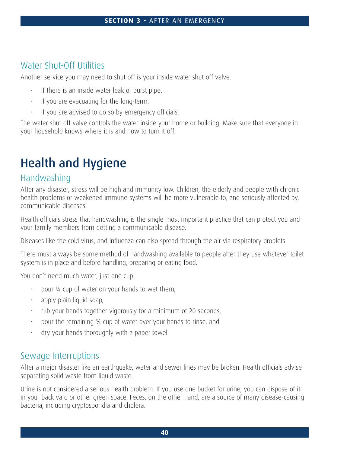# Water Shut-Off Utilities

Another service you may need to shut off is your inside water shut off valve:

- If there is an inside water leak or burst pipe.
- If you are evacuating for the long-term.
- If you are advised to do so by emergency officials.

The water shut off valve controls the water inside your home or building. Make sure that everyone in your household knows where it is and how to turn it off.

# Health and Hygiene

# Handwashing

After any disaster, stress will be high and immunity low. Children, the elderly and people with chronic health problems or weakened immune systems will be more vulnerable to, and seriously affected by, communicable diseases.

Health officials stress that handwashing is the single most important practice that can protect you and your family members from getting a communicable disease.

Diseases like the cold virus, and influenza can also spread through the air via respiratory droplets.

There must always be some method of handwashing available to people after they use whatever toilet system is in place and before handling, preparing or eating food.

You don't need much water, just one cup:

- pour ¼ cup of water on your hands to wet them,
- apply plain liquid soap,
- rub your hands together vigorously for a minimum of 20 seconds,
- pour the remaining ¾ cup of water over your hands to rinse, and
- dry your hands thoroughly with a paper towel.

## Sewage Interruptions

After a major disaster like an earthquake, water and sewer lines may be broken. Health officials advise separating solid waste from liquid waste.

Urine is not considered a serious health problem. If you use one bucket for urine, you can dispose of it in your back yard or other green space. Feces, on the other hand, are a source of many disease-causing bacteria, including cryptosporidia and cholera.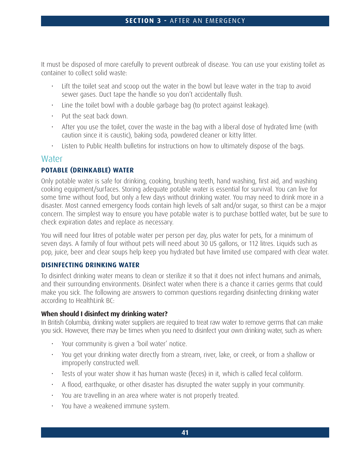It must be disposed of more carefully to prevent outbreak of disease. You can use your existing toilet as container to collect solid waste:

- Lift the toilet seat and scoop out the water in the bowl but leave water in the trap to avoid sewer gases. Duct tape the handle so you don't accidentally flush.
- Line the toilet bowl with a double garbage bag (to protect against leakage).
- Put the seat back down.
- After you use the toilet, cover the waste in the bag with a liberal dose of hydrated lime (with caution since it is caustic), baking soda, powdered cleaner or kitty litter.
- Listen to Public Health bulletins for instructions on how to ultimately dispose of the bags.

## **Water**

#### **POTABLE (DRINKABLE) WATER**

Only potable water is safe for drinking, cooking, brushing teeth, hand washing, first aid, and washing cooking equipment/surfaces. Storing adequate potable water is essential for survival. You can live for some time without food, but only a few days without drinking water. You may need to drink more in a disaster. Most canned emergency foods contain high levels of salt and/or sugar, so thirst can be a major concern. The simplest way to ensure you have potable water is to purchase bottled water, but be sure to check expiration dates and replace as necessary.

You will need four litres of potable water per person per day, plus water for pets, for a minimum of seven days. A family of four without pets will need about 30 US gallons, or 112 litres. Liquids such as pop, juice, beer and clear soups help keep you hydrated but have limited use compared with clear water.

#### **DISINFECTING DRINKING WATER**

To disinfect drinking water means to clean or sterilize it so that it does not infect humans and animals, and their surrounding environments. Disinfect water when there is a chance it carries germs that could make you sick. The following are answers to common questions regarding disinfecting drinking water according to HealthLink BC:

#### **When should I disinfect my drinking water?**

In British Columbia, drinking water suppliers are required to treat raw water to remove germs that can make you sick. However, there may be times when you need to disinfect your own drinking water, such as when:

- Your community is given a 'boil water' notice.
- You get your drinking water directly from a stream, river, lake, or creek, or from a shallow or improperly constructed well.
- Tests of your water show it has human waste (feces) in it, which is called fecal coliform.
- A flood, earthquake, or other disaster has disrupted the water supply in your community.
- You are travelling in an area where water is not properly treated.
- You have a weakened immune system.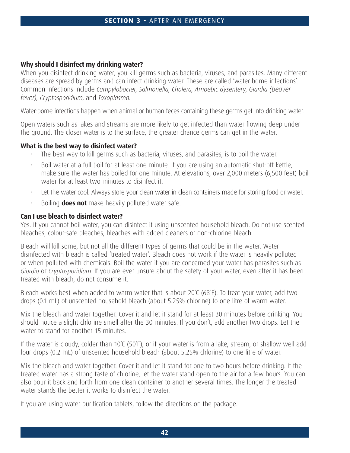#### **Why should I disinfect my drinking water?**

When you disinfect drinking water, you kill germs such as bacteria, viruses, and parasites. Many different diseases are spread by germs and can infect drinking water. These are called 'water-borne infections'. Common infections include *Campylobacter*, *Salmonella*, *Cholera*, *Amoebic dysentery*, *Giardia (beaver fever), Cryptosporidium*, and *Toxoplasma*.

Water-borne infections happen when animal or human feces containing these germs get into drinking water.

Open waters such as lakes and streams are more likely to get infected than water flowing deep under the ground. The closer water is to the surface, the greater chance germs can get in the water.

#### **What is the best way to disinfect water?**

- The best way to kill germs such as bacteria, viruses, and parasites, is to boil the water.
- Boil water at a full boil for at least one minute. If you are using an automatic shut-off kettle, make sure the water has boiled for one minute. At elevations, over 2,000 meters (6,500 feet) boil water for at least two minutes to disinfect it.
- Let the water cool. Always store your clean water in clean containers made for storing food or water.
- Boiling **does not** make heavily polluted water safe.

#### **Can I use bleach to disinfect water?**

Yes. If you cannot boil water, you can disinfect it using unscented household bleach. Do not use scented bleaches, colour-safe bleaches, bleaches with added cleaners or non-chlorine bleach.

Bleach will kill some, but not all the different types of germs that could be in the water. Water disinfected with bleach is called 'treated water'. Bleach does not work if the water is heavily polluted or when polluted with chemicals. Boil the water if you are concerned your water has parasites such as *Giardia* or *Cryptosporidium*. If you are ever unsure about the safety of your water, even after it has been treated with bleach, do not consume it.

Bleach works best when added to warm water that is about 20°C (68°F). To treat your water, add two drops (0.1 mL) of unscented household bleach (about 5.25% chlorine) to one litre of warm water.

Mix the bleach and water together. Cover it and let it stand for at least 30 minutes before drinking. You should notice a slight chlorine smell after the 30 minutes. If you don't, add another two drops. Let the water to stand for another 15 minutes.

If the water is cloudy, colder than 10°C (50°F), or if your water is from a lake, stream, or shallow well add four drops (0.2 mL) of unscented household bleach (about 5.25% chlorine) to one litre of water.

Mix the bleach and water together. Cover it and let it stand for one to two hours before drinking. If the treated water has a strong taste of chlorine, let the water stand open to the air for a few hours. You can also pour it back and forth from one clean container to another several times. The longer the treated water stands the better it works to disinfect the water.

If you are using water purification tablets, follow the directions on the package.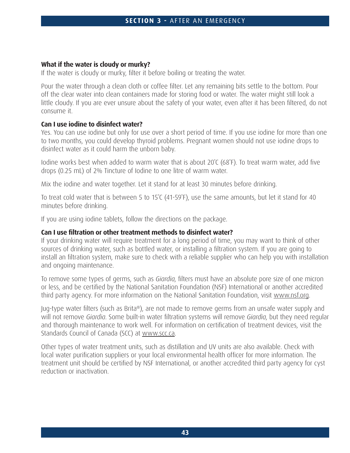#### **What if the water is cloudy or murky?**

If the water is cloudy or murky, filter it before boiling or treating the water.

Pour the water through a clean cloth or coffee filter. Let any remaining bits settle to the bottom. Pour off the clear water into clean containers made for storing food or water. The water might still look a little cloudy. If you are ever unsure about the safety of your water, even after it has been filtered, do not consume it.

#### **Can I use iodine to disinfect water?**

Yes. You can use iodine but only for use over a short period of time. If you use iodine for more than one to two months, you could develop thyroid problems. Pregnant women should not use iodine drops to disinfect water as it could harm the unborn baby.

Iodine works best when added to warm water that is about 20˚C (68˚F). To treat warm water, add five drops (0.25 mL) of 2% Tincture of Iodine to one litre of warm water.

Mix the iodine and water together. Let it stand for at least 30 minutes before drinking.

To treat cold water that is between 5 to 15˚C (41-59˚F), use the same amounts, but let it stand for 40 minutes before drinking.

If you are using iodine tablets, follow the directions on the package.

#### **Can I use filtration or other treatment methods to disinfect water?**

If your drinking water will require treatment for a long period of time, you may want to think of other sources of drinking water, such as bottled water, or installing a filtration system. If you are going to install an filtration system, make sure to check with a reliable supplier who can help you with installation and ongoing maintenance.

To remove some types of germs, such as *Giardia*, filters must have an absolute pore size of one micron or less, and be certified by the National Sanitation Foundation (NSF) International or another accredited third party agency. For more information on the National Sanitation Foundation, visit www.nsf.org.

Jug-type water filters (such as Brita®), are not made to remove germs from an unsafe water supply and will not remove *Giardia*. Some built-in water filtration systems will remove *Giardia*, but they need regular and thorough maintenance to work well. For information on certification of treatment devices, visit the Standards Council of Canada (SCC) at www.scc.ca.

Other types of water treatment units, such as distillation and UV units are also available. Check with local water purification suppliers or your local environmental health officer for more information. The treatment unit should be certified by NSF International, or another accredited third party agency for cyst reduction or inactivation.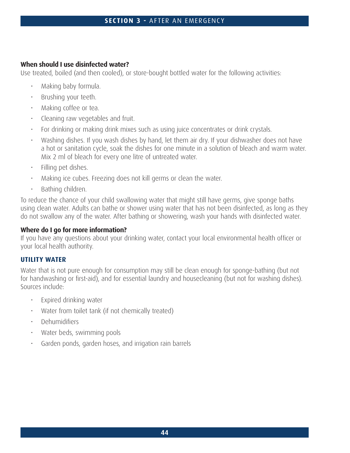#### **When should I use disinfected water?**

Use treated, boiled (and then cooled), or store-bought bottled water for the following activities:

- Making baby formula.
- Brushing your teeth.
- Making coffee or tea.
- Cleaning raw vegetables and fruit.
- For drinking or making drink mixes such as using juice concentrates or drink crystals.
- Washing dishes. If you wash dishes by hand, let them air dry. If your dishwasher does not have a hot or sanitation cycle, soak the dishes for one minute in a solution of bleach and warm water. Mix 2 ml of bleach for every one litre of untreated water.
- Filling pet dishes.
- Making ice cubes. Freezing does not kill germs or clean the water.
- Bathing children.

To reduce the chance of your child swallowing water that might still have germs, give sponge baths using clean water. Adults can bathe or shower using water that has not been disinfected, as long as they do not swallow any of the water. After bathing or showering, wash your hands with disinfected water.

#### **Where do I go for more information?**

If you have any questions about your drinking water, contact your local environmental health officer or your local health authority.

#### **UTILITY WATER**

Water that is not pure enough for consumption may still be clean enough for sponge-bathing (but not for handwashing or first-aid), and for essential laundry and housecleaning (but not for washing dishes). Sources include:

- Expired drinking water
- Water from toilet tank (if not chemically treated)
- Dehumidifiers
- Water beds, swimming pools
- Garden ponds, garden hoses, and irrigation rain barrels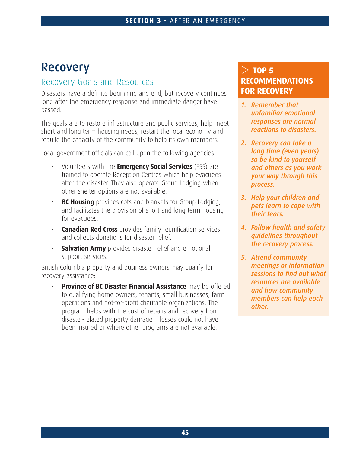# Recovery

## Recovery Goals and Resources

Disasters have a definite beginning and end, but recovery continues long after the emergency response and immediate danger have passed.

The goals are to restore infrastructure and public services, help meet short and long term housing needs, restart the local economy and rebuild the capacity of the community to help its own members.

Local government officials can call upon the following agencies:

- Volunteers with the **Emergency Social Services** (ESS) are trained to operate Reception Centres which help evacuees after the disaster. They also operate Group Lodging when other shelter options are not available.
- **BC Housing** provides cots and blankets for Group Lodging, and facilitates the provision of short and long-term housing for evacuees.
- **Canadian Red Cross** provides family reunification services and collects donations for disaster relief.
- **Salvation Army** provides disaster relief and emotional support services.

British Columbia property and business owners may qualify for recovery assistance:

• **Province of BC Disaster Financial Assistance** may be offered to qualifying home owners, tenants, small businesses, farm operations and not-for-profit charitable organizations. The program helps with the cost of repairs and recovery from disaster-related property damage if losses could not have been insured or where other programs are not available.

# $>$  TOP 5 **RECOMMENDATIONS FOR RECOVERY**

- *1. Remember that unfamiliar emotional responses are normal reactions to disasters.*
- *2. Recovery can take a long time (even years) so be kind to yourself and others as you work your way through this process.*
- *3. Help your children and pets learn to cope with their fears.*
- *4. Follow health and safety guidelines throughout the recovery process.*
- *5. Attend community meetings or information sessions to find out what resources are available and how community members can help each other.*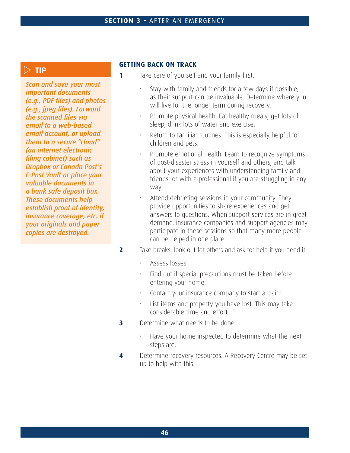#### $\triangleright$  TIP

*Scan and save your most important documents (e.g., PDF files) and photos (e.g., jpeg files). Forward the scanned files via email to a web-based email account, or upload them to a secure "cloud" (an internet electronic filing cabinet) such as Dropbox or Canada Post's E-Post Vault or place your valuable documents in a bank safe deposit box. These documents help establish proof of identity, insurance coverage, etc. if your originals and paper copies are destroyed.*

#### **GETTING BACK ON TRACK**

- **1** Take care of yourself and your family first.
	- Stay with family and friends for a few days if possible, as their support can be invaluable. Determine where you will live for the longer term during recovery.
	- Promote physical health: Eat healthy meals, get lots of sleep, drink lots of water and exercise.
	- Return to familiar routines. This is especially helpful for children and pets.
	- Promote emotional health: Learn to recognize symptoms of post-disaster stress in yourself and others; and talk about your experiences with understanding family and friends, or with a professional if you are struggling in any way.
	- Attend debriefing sessions in your community. They provide opportunities to share experiences and get answers to questions. When support services are in great demand, insurance companies and support agencies may participate in these sessions so that many more people can be helped in one place.
- **2** Take breaks, look out for others and ask for help if you need it.
	- Assess losses.
	- Find out if special precautions must be taken before entering your home.
	- Contact your insurance company to start a claim.
	- List items and property you have lost. This may take considerable time and effort.
- **3** Determine what needs to be done.
	- Have your home inspected to determine what the next steps are.
- **4** Determine recovery resources. A Recovery Centre may be set up to help with this.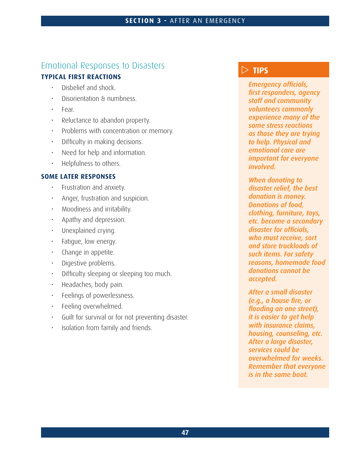## Emotional Responses to Disasters **TYPICAL FIRST REACTIONS**

- Disbelief and shock.
- Disorientation & numbness.
- Fear.
- Reluctance to abandon property.
- Problems with concentration or memory.
- Difficulty in making decisions.
- Need for help and information.
- Helpfulness to others.

#### **SOME LATER RESPONSES**

- Frustration and anxiety.
- Anger, frustration and suspicion.
- Moodiness and irritability.
- Apathy and depression.
- Unexplained crying.
- Fatigue, low energy.
- Change in appetite.
- Digestive problems.
- Difficulty sleeping or sleeping too much.
- Headaches, body pain.
- Feelings of powerlessness.
- Feeling overwhelmed.
- Guilt for survival or for not preventing disaster.
- Isolation from family and friends.

## $\triangleright$  **TIPS**

*Emergency officials, first responders, agency staff and community volunteers commonly experience many of the same stress reactions as those they are trying to help. Physical and emotional care are important for everyone involved.* 

*When donating to disaster relief, the best donation is money. Donations of food, clothing, furniture, toys, etc. become a secondary disaster for officials, who must receive, sort and store truckloads of such items. For safety reasons, homemade food donations cannot be accepted.* 

*After a small disaster (e.g., a house fire, or flooding on one street), it is easier to get help with insurance claims, housing, counseling, etc. After a large disaster, services could be overwhelmed for weeks. Remember that everyone is in the same boat.*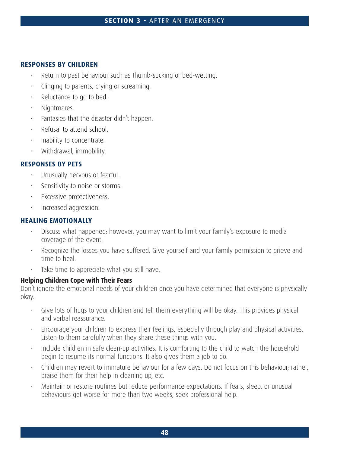#### **SECTION 3 -** AFTER AN EMERGENCY

#### **RESPONSES BY CHILDREN**

- Return to past behaviour such as thumb-sucking or bed-wetting.
- Clinging to parents, crying or screaming.
- Reluctance to go to bed.
- Nightmares.
- Fantasies that the disaster didn't happen.
- Refusal to attend school.
- Inability to concentrate.
- Withdrawal, immobility.

#### **RESPONSES BY PETS**

- Unusually nervous or fearful.
- Sensitivity to noise or storms.
- Excessive protectiveness.
- Increased aggression.

#### **HEALING EMOTIONALLY**

- Discuss what happened; however, you may want to limit your family's exposure to media coverage of the event.
- Recognize the losses you have suffered. Give yourself and your family permission to grieve and time to heal.
- Take time to appreciate what you still have.

#### **Helping Children Cope with Their Fears**

Don't ignore the emotional needs of your children once you have determined that everyone is physically okay.

- Give lots of hugs to your children and tell them everything will be okay. This provides physical and verbal reassurance.
- Encourage your children to express their feelings, especially through play and physical activities. Listen to them carefully when they share these things with you.
- Include children in safe clean-up activities. It is comforting to the child to watch the household begin to resume its normal functions. It also gives them a job to do.
- Children may revert to immature behaviour for a few days. Do not focus on this behaviour; rather, praise them for their help in cleaning up, etc.
- Maintain or restore routines but reduce performance expectations. If fears, sleep, or unusual behaviours get worse for more than two weeks, seek professional help.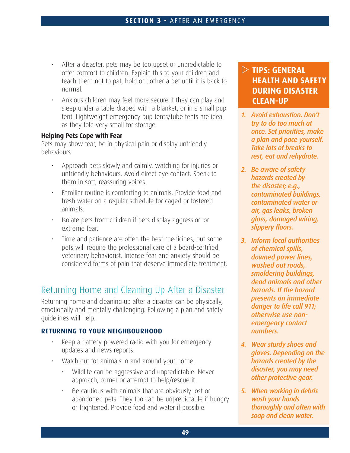- After a disaster, pets may be too upset or unpredictable to offer comfort to children. Explain this to your children and teach them not to pat, hold or bother a pet until it is back to normal.
- Anxious children may feel more secure if they can play and sleep under a table draped with a blanket, or in a small pup tent. Lightweight emergency pup tents/tube tents are ideal as they fold very small for storage.

#### **Helping Pets Cope with Fear**

Pets may show fear, be in physical pain or display unfriendly behaviours.

- Approach pets slowly and calmly, watching for injuries or unfriendly behaviours. Avoid direct eye contact. Speak to them in soft, reassuring voices.
- Familiar routine is comforting to animals. Provide food and fresh water on a regular schedule for caged or fostered animals.
- Isolate pets from children if pets display aggression or extreme fear.
- Time and patience are often the best medicines, but some pets will require the professional care of a board-certified veterinary behaviorist. Intense fear and anxiety should be considered forms of pain that deserve immediate treatment.

# Returning Home and Cleaning Up After a Disaster

Returning home and cleaning up after a disaster can be physically, emotionally and mentally challenging. Following a plan and safety guidelines will help.

#### **RETURNING TO YOUR NEIGHBOURHOOD**

- Keep a battery-powered radio with you for emergency updates and news reports.
- Watch out for animals in and around your home.
	- Wildlife can be aggressive and unpredictable. Never approach, corner or attempt to help/rescue it.
	- Be cautious with animals that are obviously lost or abandoned pets. They too can be unpredictable if hungry or frightened. Provide food and water if possible.

## $\triangleright$  TIPS: GENERAL **HEALTH AND SAFETY DURING DISASTER CLEAN-UP**

- *1. Avoid exhaustion. Don't try to do too much at once. Set priorities, make a plan and pace yourself. Take lots of breaks to rest, eat and rehydrate.*
- *2. Be aware of safety hazards created by the disaster; e.g., contaminated buildings, contaminated water or air, gas leaks, broken glass, damaged wiring, slippery floors.*
- *3. Inform local authorities of chemical spills, downed power lines, washed out roads, smoldering buildings, dead animals and other hazards. If the hazard presents an immediate danger to life call 911; otherwise use nonemergency contact numbers.*
- *4. Wear sturdy shoes and gloves. Depending on the hazards created by the disaster, you may need other protective gear.*
- *5. When working in debris wash your hands thoroughly and often with soap and clean water.*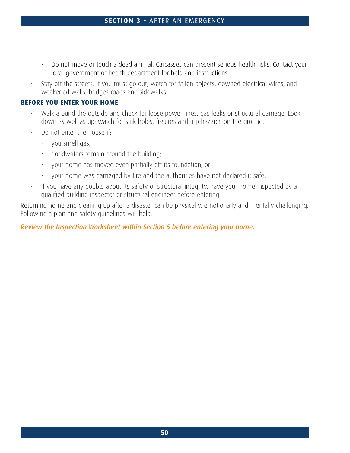- Do not move or touch a dead animal. Carcasses can present serious health risks. Contact your local government or health department for help and instructions.
- Stay off the streets. If you must go out, watch for fallen objects, downed electrical wires, and weakened walls, bridges roads and sidewalks.

#### **BEFORE YOU ENTER YOUR HOME**

- Walk around the outside and check for loose power lines, gas leaks or structural damage. Look down as well as up: watch for sink holes, fissures and trip hazards on the ground.
- Do not enter the house if:
	- you smell gas;
	- floodwaters remain around the building;
	- your home has moved even partially off its foundation; or
	- your home was damaged by fire and the authorities have not declared it safe.
- If you have any doubts about its safety or structural integrity, have your home inspected by a qualified building inspector or structural engineer before entering.

Returning home and cleaning up after a disaster can be physically, emotionally and mentally challenging. Following a plan and safety guidelines will help.

*Review the Inspection Worksheet within Section 5 before entering your home.*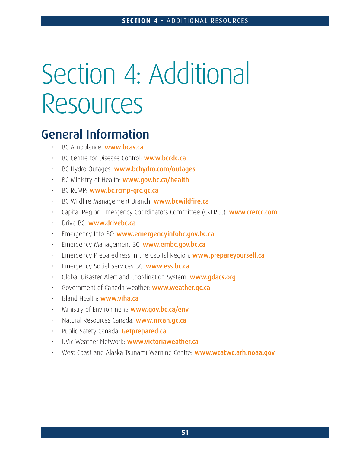# Section 4: Additional Resources

# General Information

- BC Ambulance: www.bcas.ca
- BC Centre for Disease Control: www.bccdc.ca
- BC Hydro Outages: www.bchydro.com/outages
- BC Ministry of Health: www.gov.bc.ca/health
- BC RCMP: www.bc.rcmp-grc.gc.ca
- BC Wildfire Management Branch: www.bcwildfire.ca
- Capital Region Emergency Coordinators Committee (CRERCC): www.crercc.com
- Drive BC: www.drivebc.ca
- Emergency Info BC: www.emergencyinfobc.gov.bc.ca
- Emergency Management BC: www.embc.gov.bc.ca
- Emergency Preparedness in the Capital Region: www.prepareyourself.ca
- Emergency Social Services BC: www.ess.bc.ca
- Global Disaster Alert and Coordination System: www.qdacs.org
- Government of Canada weather: www.weather.gc.ca
- Island Health: www.viha.ca
- Ministry of Environment: www.gov.bc.ca/env
- Natural Resources Canada: www.nrcan.gc.ca
- Public Safety Canada: Getprepared.ca
- UVic Weather Network: www.victoriaweather.ca
- West Coast and Alaska Tsunami Warning Centre: www.wcatwc.arh.noaa.gov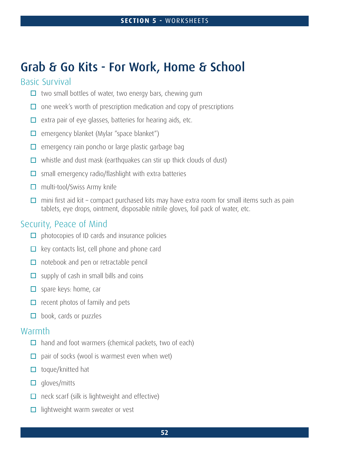# Grab & Go Kits - For Work, Home & School

## Basic Survival

- $\Box$  two small bottles of water, two energy bars, chewing gum
- $\Box$  one week's worth of prescription medication and copy of prescriptions
- $\Box$  extra pair of eye glasses, batteries for hearing aids, etc.
- $\Box$  emergency blanket (Mylar "space blanket")
- $\Box$  emergency rain poncho or large plastic garbage bag
- $\Box$  whistle and dust mask (earthquakes can stir up thick clouds of dust)
- $\Box$  small emergency radio/flashlight with extra batteries
- $\Box$  multi-tool/Swiss Army knife
- $\Box$  mini first aid kit compact purchased kits may have extra room for small items such as pain tablets, eye drops, ointment, disposable nitrile gloves, foil pack of water, etc.

## Security, Peace of Mind

- $\Box$  photocopies of ID cards and insurance policies
- $\Box$  key contacts list, cell phone and phone card
- $\Box$  notebook and pen or retractable pencil
- $\Box$  supply of cash in small bills and coins
- $\Box$  spare keys: home, car
- $\Box$  recent photos of family and pets
- $\Box$  book, cards or puzzles

#### Warmth

- $\Box$  hand and foot warmers (chemical packets, two of each)
- pair of socks (wool is warmest even when wet)  $\Box$
- $\Box$  toque/knitted hat
- $\Box$  gloves/mitts
- $\Box$  neck scarf (silk is lightweight and effective)
- $\Box$  lightweight warm sweater or vest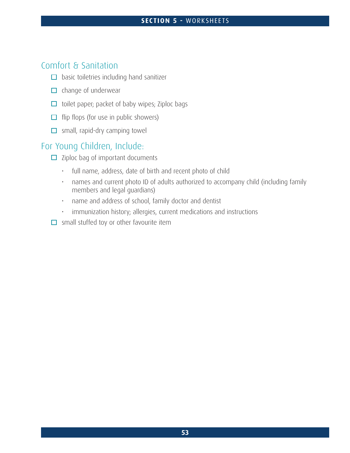#### **SECTION 5 -** WORKSHEETS

# Comfort & Sanitation

- $\Box$  basic toiletries including hand sanitizer
- $\Box$  change of underwear
- $\Box$  toilet paper; packet of baby wipes; Ziploc bags
- $\Box$  flip flops (for use in public showers)
- □ small, rapid-dry camping towel

## For Young Children, Include:

- $\Box$  Ziploc bag of important documents
	- full name, address, date of birth and recent photo of child
	- names and current photo ID of adults authorized to accompany child (including family members and legal guardians)
	- name and address of school, family doctor and dentist
	- immunization history; allergies, current medications and instructions
- $\square$  small stuffed toy or other favourite item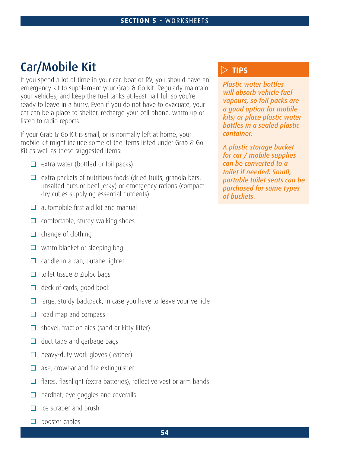# Car/Mobile Kit

If you spend a lot of time in your car, boat or RV, you should have an emergency kit to supplement your Grab & Go Kit. Regularly maintain your vehicles, and keep the fuel tanks at least half full so you're ready to leave in a hurry. Even if you do not have to evacuate, your car can be a place to shelter, recharge your cell phone, warm up or listen to radio reports.

If your Grab & Go Kit is small, or is normally left at home, your mobile kit might include some of the items listed under Grab & Go Kit as well as these suggested items:

- $\Box$  extra water (bottled or foil packs)
- $\Box$  extra packets of nutritious foods (dried fruits, granola bars, unsalted nuts or beef jerky) or emergency rations (compact dry cubes supplying essential nutrients)
- $\Box$  automobile first aid kit and manual
- $\Box$  comfortable, sturdy walking shoes
- $\Box$  change of clothing
- $\Box$  warm blanket or sleeping bag
- $\Box$  candle-in-a can, butane lighter
- $\Box$  toilet tissue & Ziploc bags
- $\Box$  deck of cards, good book
- $\Box$  large, sturdy backpack, in case you have to leave your vehicle
- $\Box$  road map and compass
- $\Box$  shovel, traction aids (sand or kitty litter)
- $\Box$  duct tape and garbage bags
- $\Box$  heavy-duty work gloves (leather)
- $\Box$  axe, crowbar and fire extinguisher
- $\Box$  flares, flashlight (extra batteries), reflective vest or arm bands
- $\Box$  hardhat, eye goggles and coveralls
- $\Box$  ice scraper and brush
- $\Box$  booster cables

#### $\triangleright$  TIPS

*Plastic water bottles will absorb vehicle fuel vapours, so foil packs are a good option for mobile kits; or place plastic water bottles in a sealed plastic container.* 

*A plastic storage bucket for car / mobile supplies can be converted to a toilet if needed. Small, portable toilet seats can be purchased for some types of buckets.*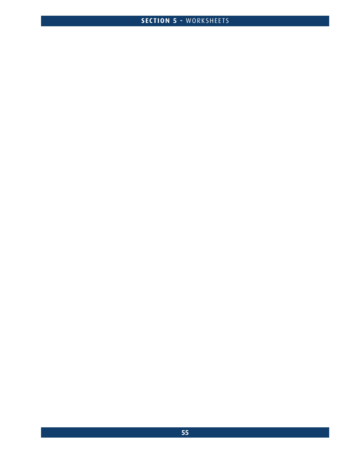# **SECTION 5 -** WORKSHEETS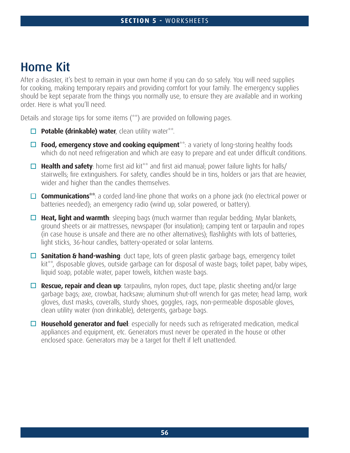# Home Kit

After a disaster, it's best to remain in your own home if you can do so safely. You will need supplies for cooking, making temporary repairs and providing comfort for your family. The emergency supplies should be kept separate from the things you normally use, to ensure they are available and in working order. Here is what you'll need.

Details and storage tips for some items (\*\*) are provided on following pages.

- **Potable (drinkable) water**, clean utility water\*\*.
- **Food, emergency stove and cooking equipment**\*\*: a variety of long-storing healthy foods which do not need refrigeration and which are easy to prepare and eat under difficult conditions.
- Health and safety: home first aid kit<sup>\*\*</sup> and first aid manual; power failure lights for halls/ stairwells; fire extinguishers. For safety, candles should be in tins, holders or jars that are heavier, wider and higher than the candles themselves.
- **Communications\*\***: a corded land-line phone that works on a phone jack (no electrical power or batteries needed); an emergency radio (wind up, solar powered, or battery).
- Heat, light and warmth: sleeping bags (much warmer than regular bedding; Mylar blankets, ground sheets or air mattresses, newspaper (for insulation); camping tent or tarpaulin and ropes (in case house is unsafe and there are no other alternatives); flashlights with lots of batteries, light sticks, 36-hour candles, battery-operated or solar lanterns.
- □ **Sanitation & hand-washing**: duct tape, lots of green plastic garbage bags, emergency toilet kit<sup>\*\*</sup>, disposable gloves, outside garbage can for disposal of waste bags; toilet paper, baby wipes, liquid soap, potable water, paper towels, kitchen waste bags.
- **□ Rescue, repair and clean up**: tarpaulins, nylon ropes, duct tape, plastic sheeting and/or large garbage bags; axe, crowbar, hacksaw; aluminum shut-off wrench for gas meter; head lamp, work gloves, dust masks, coveralls, sturdy shoes, goggles, rags, non-permeable disposable gloves, clean utility water (non drinkable), detergents, garbage bags.
- $\Box$  **Household generator and fuel**: especially for needs such as refrigerated medication, medical appliances and equipment, etc. Generators must never be operated in the house or other enclosed space. Generators may be a target for theft if left unattended.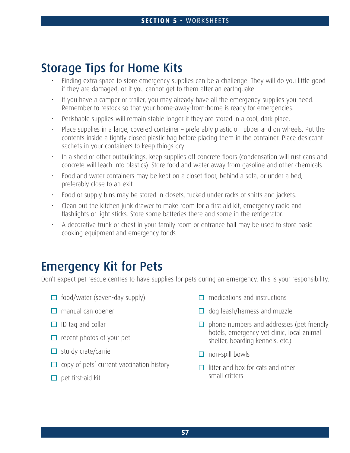# Storage Tips for Home Kits

- Finding extra space to store emergency supplies can be a challenge. They will do you little good if they are damaged, or if you cannot get to them after an earthquake.
- If you have a camper or trailer, you may already have all the emergency supplies you need. Remember to restock so that your home-away-from-home is ready for emergencies.
- Perishable supplies will remain stable longer if they are stored in a cool, dark place.
- Place supplies in a large, covered container preferably plastic or rubber and on wheels. Put the contents inside a tightly closed plastic bag before placing them in the container. Place desiccant sachets in your containers to keep things dry.
- In a shed or other outbuildings, keep supplies off concrete floors (condensation will rust cans and concrete will leach into plastics). Store food and water away from gasoline and other chemicals.
- Food and water containers may be kept on a closet floor, behind a sofa, or under a bed, preferably close to an exit.
- Food or supply bins may be stored in closets, tucked under racks of shirts and jackets.
- Clean out the kitchen junk drawer to make room for a first aid kit, emergency radio and flashlights or light sticks. Store some batteries there and some in the refrigerator.
- A decorative trunk or chest in your family room or entrance hall may be used to store basic cooking equipment and emergency foods.

# Emergency Kit for Pets

Don't expect pet rescue centres to have supplies for pets during an emergency. This is your responsibility.

- $\Box$  food/water (seven-day supply)
- $\Box$  manual can opener
- $\Box$  ID tag and collar
- $\Box$  recent photos of your pet
- $\Box$  sturdy crate/carrier
- $\Box$  copy of pets' current vaccination history
- $\Box$  pet first-aid kit
- $\Box$  medications and instructions
- $\Box$  dog leash/harness and muzzle
- $\square$  phone numbers and addresses (pet friendly hotels, emergency vet clinic, local animal shelter, boarding kennels, etc.)
- □ non-spill bowls
- $\Box$  litter and box for cats and other small critters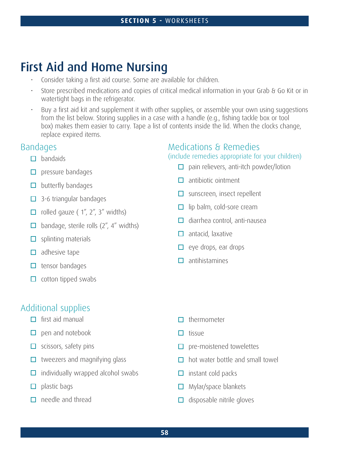# First Aid and Home Nursing

- Consider taking a first aid course. Some are available for children.
- Store prescribed medications and copies of critical medical information in your Grab & Go Kit or in watertight bags in the refrigerator.
- Buy a first aid kit and supplement it with other supplies, or assemble your own using suggestions from the list below. Storing supplies in a case with a handle (e.g., fishing tackle box or tool box) makes them easier to carry. Tape a list of contents inside the lid. When the clocks change, replace expired items.

## Bandages

- $\Box$  bandaids
- $\Box$  pressure bandages
- $\Box$  butterfly bandages
- $\Box$  3-6 triangular bandages
- $\Box$  rolled gauze ( 1", 2", 3" widths)
- $\Box$  bandage, sterile rolls (2", 4" widths)
- $\Box$  splinting materials
- $\Box$  adhesive tape
- $\Box$  tensor bandages
- $\Box$  cotton tipped swabs

# Additional supplies

- $\Box$  first aid manual
- $\Box$  pen and notebook
- $\Box$  scissors, safety pins
- $\Box$  tweezers and magnifying glass
- $\Box$  individually wrapped alcohol swabs
- $\Box$  plastic bags
- $\Box$  needle and thread

# Medications & Remedies

(include remedies appropriate for your children)

- $\Box$  pain relievers, anti-itch powder/lotion
- $\Box$  antibiotic ointment
- $\square$  sunscreen, insect repellent
- $\Box$  lip balm, cold-sore cream
- $\Box$  diarrhea control, anti-nausea
- $\Box$  antacid, laxative
- $\Box$  eye drops, ear drops
- $\Box$  antihistamines

- $\Box$  thermometer
- $\Box$  tissue
- $\Box$  pre-moistened towelettes
- $\Box$  hot water bottle and small towel
- $\Box$  instant cold packs
- $\Box$  Mylar/space blankets
- $\Box$  disposable nitrile gloves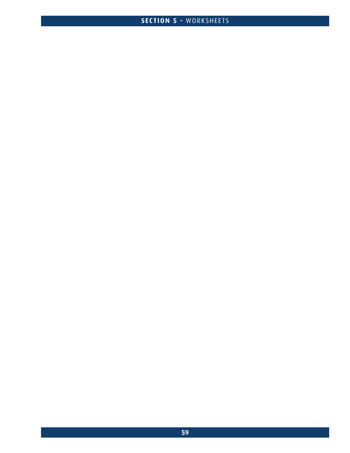# **SECTION 5 -** WORKSHEETS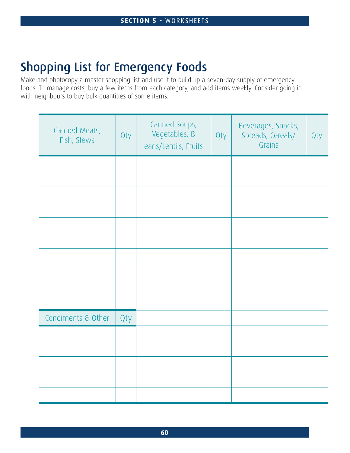# Shopping List for Emergency Foods

Make and photocopy a master shopping list and use it to build up a seven-day supply of emergency foods. To manage costs, buy a few items from each category, and add items weekly. Consider going in with neighbours to buy bulk quantities of some items.

| Canned Meats,<br>Fish, Stews | Qty | Canned Soups,<br>Vegetables, B<br>eans/Lentils, Fruits | Qty | Beverages, Snacks,<br>Spreads, Cereals/<br>Grains | Qty |
|------------------------------|-----|--------------------------------------------------------|-----|---------------------------------------------------|-----|
|                              |     |                                                        |     |                                                   |     |
|                              |     |                                                        |     |                                                   |     |
|                              |     |                                                        |     |                                                   |     |
|                              |     |                                                        |     |                                                   |     |
|                              |     |                                                        |     |                                                   |     |
|                              |     |                                                        |     |                                                   |     |
|                              |     |                                                        |     |                                                   |     |
|                              |     |                                                        |     |                                                   |     |
|                              |     |                                                        |     |                                                   |     |
|                              |     |                                                        |     |                                                   |     |
| Condiments & Other           | Qty |                                                        |     |                                                   |     |
|                              |     |                                                        |     |                                                   |     |
|                              |     |                                                        |     |                                                   |     |
|                              |     |                                                        |     |                                                   |     |
|                              |     |                                                        |     |                                                   |     |
|                              |     |                                                        |     |                                                   |     |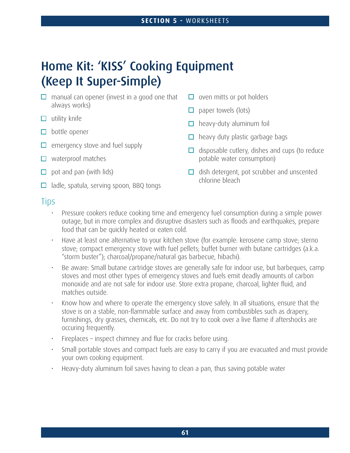# Home Kit: 'KISS' Cooking Equipment (Keep It Super-Simple)

- $\Box$  manual can opener (invest in a good one that always works)
- $\Box$  utility knife
- $\Box$  bottle opener
- $\Box$  emergency stove and fuel supply
- $\Box$  waterproof matches
- $\Box$  pot and pan (with lids)
- $\Box$  ladle, spatula, serving spoon, BBQ tongs
- $\Box$  oven mitts or pot holders
- $\Box$  paper towels (lots)
- $\Box$  heavy-duty aluminum foil
- $\Box$  heavy duty plastic garbage bags
- $\Box$  disposable cutlery, dishes and cups (to reduce potable water consumption)
- $\Box$  dish detergent, pot scrubber and unscented chlorine bleach

## Tips

- Pressure cookers reduce cooking time and emergency fuel consumption during a simple power outage, but in more complex and disruptive disasters such as floods and earthquakes, prepare food that can be quickly heated or eaten cold.
- Have at least one alternative to your kitchen stove (for example: kerosene camp stove; sterno stove; compact emergency stove with fuel pellets; buffet burner with butane cartridges (a.k.a. "storm buster"); charcoal/propane/natural gas barbecue, hibachi).
- Be aware: Small butane cartridge stoves are generally safe for indoor use, but barbeques, camp stoves and most other types of emergency stoves and fuels emit deadly amounts of carbon monoxide and are not safe for indoor use. Store extra propane, charcoal, lighter fluid, and matches outside.
- Know how and where to operate the emergency stove safely. In all situations, ensure that the stove is on a stable, non-flammable surface and away from combustibles such as drapery, furnishings, dry grasses, chemicals, etc. Do not try to cook over a live flame if aftershocks are occuring frequently.
- Fireplaces inspect chimney and flue for cracks before using.
- Small portable stoves and compact fuels are easy to carry if you are evacuated and must provide your own cooking equipment.
- Heavy-duty aluminum foil saves having to clean a pan, thus saving potable water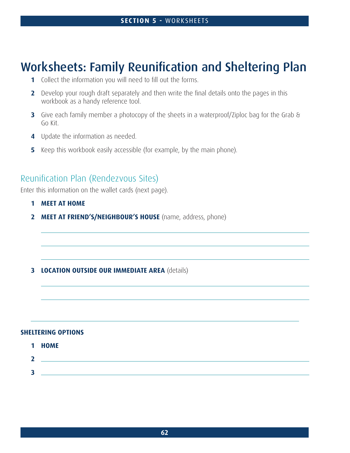# Worksheets: Family Reunification and Sheltering Plan

- Collect the information you will need to fill out the forms.
- Develop your rough draft separately and then write the final details onto the pages in this workbook as a handy reference tool.
- Give each family member a photocopy of the sheets in a waterproof/Ziploc bag for the Grab & Go Kit.
- Update the information as needed.
- Keep this workbook easily accessible (for example, by the main phone).

## Reunification Plan (Rendezvous Sites)

Enter this information on the wallet cards (next page).

- **MEET AT HOME**
- **MEET AT FRIEND'S/NEIGHBOUR'S HOUSE** (name, address, phone)

#### **LOCATION OUTSIDE OUR IMMEDIATE AREA** (details)

#### **SHELTERING OPTIONS**

- **HOME**
-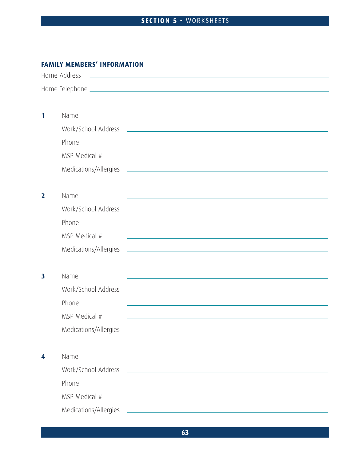## **SECTION 5 -** WORKSHEETS

#### **FAMILY MEMBERS' INFORMATION**

|                         | Home Address          |                                                                                                                       |
|-------------------------|-----------------------|-----------------------------------------------------------------------------------------------------------------------|
|                         |                       |                                                                                                                       |
|                         |                       |                                                                                                                       |
| 1                       | Name                  | <u> 1980 - Johann Barn, mars ann an t-Amhain Aonaich an t-Aonaich an t-Aonaich ann an t-Aonaich ann an t-Aonaich</u>  |
|                         | Work/School Address   | the control of the control of the control of the control of the control of the control of                             |
|                         | Phone                 |                                                                                                                       |
|                         | MSP Medical #         | and the state of the state of the state of the state of the state of the state of                                     |
|                         | Medications/Allergies | <u> 1980 - Johann Stoff, deutscher Stoff, der Stoff, der Stoff, der Stoff, der Stoff, der Stoff, der Stoff, der S</u> |
|                         |                       |                                                                                                                       |
| $\overline{2}$          | Name                  | the control of the control of the control of the control of the control of the control of                             |
|                         | Work/School Address   |                                                                                                                       |
|                         | Phone                 |                                                                                                                       |
|                         | MSP Medical #         |                                                                                                                       |
|                         | Medications/Allergies | <u> 1980 - Johann Barn, mars an t-Amerikaansk politiker (</u>                                                         |
|                         |                       |                                                                                                                       |
| $\overline{\mathbf{3}}$ | Name                  | <u> 1980 - Johann Barn, mars ann an t-Amhain Aonaich an t-Aonaich an t-Aonaich ann an t-Aonaich ann an t-Aonaich</u>  |
|                         | Work/School Address   | the control of the control of the control of the control of the control of the control of                             |
|                         | Phone                 |                                                                                                                       |
|                         | MSP Medical #         |                                                                                                                       |
|                         | Medications/Allergies |                                                                                                                       |
|                         |                       |                                                                                                                       |
| 4                       | Name                  |                                                                                                                       |
|                         | Work/School Address   | <u> 1980 - Johann John Stein, marwolaethau (b. 1980)</u>                                                              |
|                         | Phone                 |                                                                                                                       |
|                         | MSP Medical #         |                                                                                                                       |
|                         | Medications/Allergies |                                                                                                                       |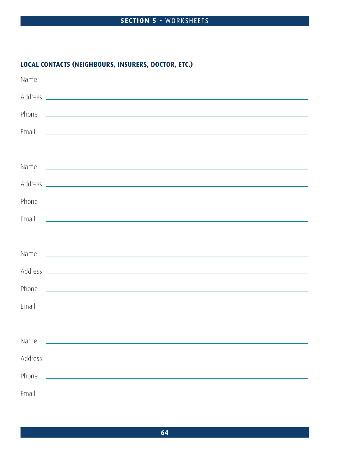# **SECTION 5 -** WORKSHEETS

# **LOCAL CONTACTS (NEIGHBOURS, INSURERS, DOCTOR, ETC.)**

| Name    | <u> 1989 - Andrea Station, amerikansk politiker (d. 1989)</u>                                                                                                                                                                 |
|---------|-------------------------------------------------------------------------------------------------------------------------------------------------------------------------------------------------------------------------------|
|         | Address experiences and the set of the set of the set of the set of the set of the set of the set of the set of the set of the set of the set of the set of the set of the set of the set of the set of the set of the set of |
|         |                                                                                                                                                                                                                               |
| Phone   | <u> 1989 - Johann Harry Harry Harry Harry Harry Harry Harry Harry Harry Harry Harry Harry Harry Harry Harry Harry</u>                                                                                                         |
| Email   | <u> 1980 - Andrea Andrew Maria (h. 1980).</u>                                                                                                                                                                                 |
|         |                                                                                                                                                                                                                               |
| Name    | <u> 1980 - Johann Barn, fransk politik (d. 1980)</u>                                                                                                                                                                          |
|         |                                                                                                                                                                                                                               |
| Phone   | <u> 1989 - Johann Harry Harry Harry Harry Harry Harry Harry Harry Harry Harry Harry Harry Harry Harry Harry Harry</u>                                                                                                         |
|         |                                                                                                                                                                                                                               |
| Email   | <u> 1989 - Andrea Station Barbara, actor a contra a contra a contra a contra a contra a contra a contra a con</u>                                                                                                             |
|         |                                                                                                                                                                                                                               |
| Name    | <u> 1989 - Andrea Stadt Britain, amerikansk politik (* 1908)</u>                                                                                                                                                              |
|         |                                                                                                                                                                                                                               |
| Phone   | <u> 1980 - Andrea Station Barbara, actor a component de la componentación de la componentación de la componentaci</u>                                                                                                         |
|         |                                                                                                                                                                                                                               |
| Email   | <u> 1980 - Andrea Stadt Britain, amerikansk politik (d. 1980)</u>                                                                                                                                                             |
|         |                                                                                                                                                                                                                               |
| Name    | <u> 1980 - Johann Barn, mars ann an t-Amhainn an t-Amhainn an t-Amhainn an t-Amhainn an t-Amhainn an t-Amhainn a</u>                                                                                                          |
| Address |                                                                                                                                                                                                                               |
| Phone   | <u> 1990 - Johann Barbara, martin a</u>                                                                                                                                                                                       |
|         |                                                                                                                                                                                                                               |
| Email   |                                                                                                                                                                                                                               |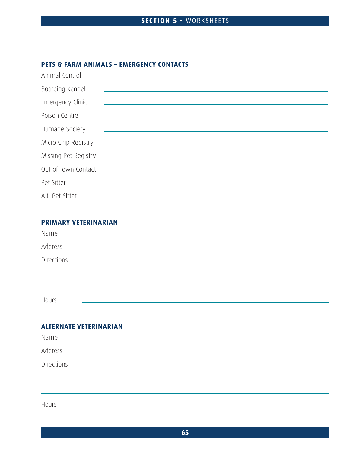#### **PETS & FARM ANIMALS – EMERGENCY CONTACTS**

| Animal Control       |                                                                                                                        |
|----------------------|------------------------------------------------------------------------------------------------------------------------|
| Boarding Kennel      | and the control of the control of the control of the control of the control of the control of the control of the       |
| Emergency Clinic     | <u> 1989 - Johann Stoff, deutscher Stoffen und der Stoffen und der Stoffen und der Stoffen und der Stoffen und der</u> |
| Poison Centre        |                                                                                                                        |
| Humane Society       |                                                                                                                        |
| Micro Chip Registry  | <u> 1989 - Johann Stein, mars and de Brazilian (b. 1989)</u>                                                           |
| Missing Pet Registry | <u> Alexandria de la contrada de la contrada de la contrada de la contrada de la contrada de la contrada de la c</u>   |
| Out-of-Town Contact  |                                                                                                                        |
| Pet Sitter           |                                                                                                                        |
| Alt. Pet Sitter      |                                                                                                                        |

#### **PRIMARY VETERINARIAN**

| Name              |                                                                   |  |  |
|-------------------|-------------------------------------------------------------------|--|--|
| Address           | <u> 1989 - Andrea Station, amerikansk politik (</u>               |  |  |
| <b>Directions</b> | <u> 1980 - Andrea State Barbara, amerikan personal (h. 1980).</u> |  |  |
|                   |                                                                   |  |  |
| Hours             |                                                                   |  |  |

#### **ALTERNATE VETERINARIAN**

| Name              |                                                                                                                       |  |  |
|-------------------|-----------------------------------------------------------------------------------------------------------------------|--|--|
| Address           | <u> 1989 - Andrea Station, amerikansk politik (d. 1989)</u>                                                           |  |  |
| <b>Directions</b> | <u> 1980 - Andrea State Barbara, amerikan personal di personal dengan personal dengan personal dengan personal de</u> |  |  |
|                   |                                                                                                                       |  |  |
| Hours             |                                                                                                                       |  |  |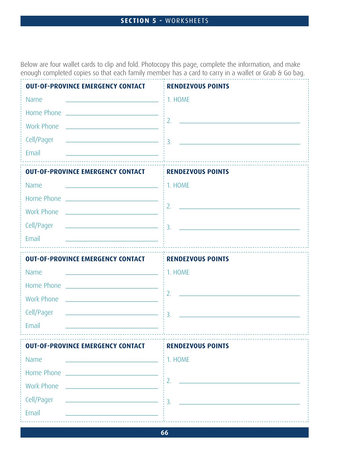Below are four wallet cards to clip and fold. Photocopy this page, complete the information, and make enough completed copies so that each family member has a card to carry in a wallet or Grab & Go bag.

| <b>OUT-OF-PROVINCE EMERGENCY CONTACT</b>                                                 | <b>RENDEZVOUS POINTS</b>                                                                                                     |
|------------------------------------------------------------------------------------------|------------------------------------------------------------------------------------------------------------------------------|
| Name<br><u> 1980 - Johann Barn, mars an t-Amerikaansk politiker (</u>                    | $\pm$ 1. HOME                                                                                                                |
| Home Phone <u>_______________________________</u>                                        | 2.<br><u> 1980 - Andrea Station, amerikansk politik (</u>                                                                    |
| Cell/Pager $\qquad \qquad$                                                               |                                                                                                                              |
| Email                                                                                    | <u> 1980 - John Stein, Amerikaansk politiker (</u>                                                                           |
| <b>OUT-OF-PROVINCE EMERGENCY CONTACT FRENDEZVOUS POINTS</b>                              |                                                                                                                              |
| Name                                                                                     |                                                                                                                              |
|                                                                                          |                                                                                                                              |
| Work Phone <u>_________________________________</u>                                      | <u> 1980 - Johann Barn, mars ann an t-Amhain ann an t-Amhain an t-Amhain an t-Amhain an t-Amhain an t-Amhain an t-</u><br>2. |
| Cell/Pager $\qquad \qquad$                                                               | <u> 1989 - Andrea Station, amerikansk politik (</u>                                                                          |
| Email<br><u> 1990 - Johann Barn, mars ann an t-Amhain ann an t-</u>                      |                                                                                                                              |
| <b>OUT-OF-PROVINCE EMERGENCY CONTACT</b>                                                 | <b>RENDEZVOUS POINTS</b>                                                                                                     |
| Name                                                                                     |                                                                                                                              |
|                                                                                          | 2.<br>and the control of the control of the control of the control of the control of                                         |
| Work Phone <u>______________________________</u>                                         |                                                                                                                              |
| Cell/Pager                                                                               | <u> 1989 - Johann Barbara, martxa alemaniar a</u>                                                                            |
| Email<br><u> The Communication of the Communication of the Communication</u>             |                                                                                                                              |
| <b>OUT-OF-PROVINCE EMERGENCY CONTACT FRENDEZVOUS POINTS</b>                              |                                                                                                                              |
| Name                                                                                     |                                                                                                                              |
| Home Phone <u>_____________________________</u>                                          | 2.<br><u> 1980 - Andrea Station, amerikansk politik (d. 1980)</u>                                                            |
| Work Phone <u>________________________________</u>                                       |                                                                                                                              |
| Cell/Pager                                                                               | <u> 1980 - Jan Stern Stern Stern Stern Stern Stern Stern Stern Stern Stern Stern Stern Stern Stern Stern Stern St</u>        |
| Email<br>the contract of the contract of the contract of the contract of the contract of |                                                                                                                              |
|                                                                                          | 66                                                                                                                           |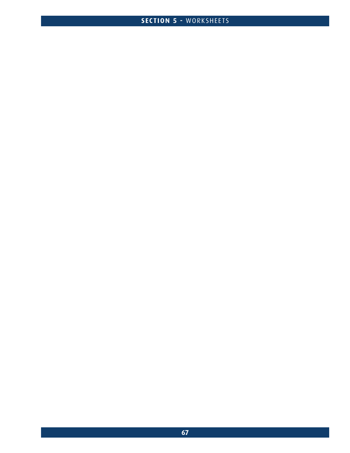# **SECTION 5 -** WORKSHEETS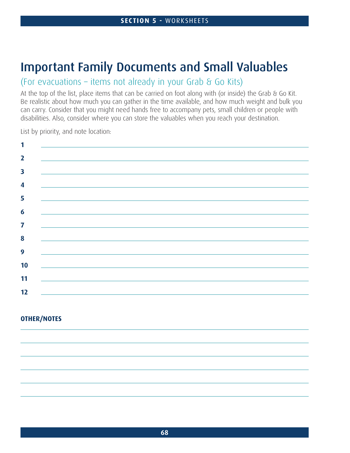# Important Family Documents and Small Valuables

(For evacuations – items not already in your Grab & Go Kits)

At the top of the list, place items that can be carried on foot along with (or inside) the Grab & Go Kit. Be realistic about how much you can gather in the time available, and how much weight and bulk you can carry. Consider that you might need hands free to accompany pets, small children or people with disabilities. Also, consider where you can store the valuables when you reach your destination.

List by priority, and note location:

|                         | the control of the control of the control of the control of the control of the control of |
|-------------------------|-------------------------------------------------------------------------------------------|
| $\overline{2}$          |                                                                                           |
|                         |                                                                                           |
| $\overline{\mathbf{3}}$ |                                                                                           |
| 4                       |                                                                                           |
| 5                       |                                                                                           |
|                         |                                                                                           |
| 6                       | <u> 1989 - John Stone, amerikansk politiker (* 1989)</u>                                  |
| $\overline{\mathbf{z}}$ |                                                                                           |
| 8                       |                                                                                           |
| 9                       |                                                                                           |
|                         |                                                                                           |
| 10                      |                                                                                           |
| 11                      |                                                                                           |
|                         |                                                                                           |
| 12                      |                                                                                           |

#### **OTHER/NOTES**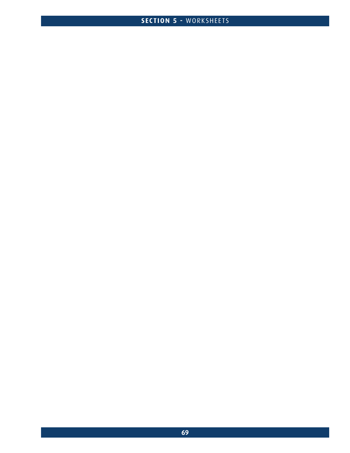# **SECTION 5 -** WORKSHEETS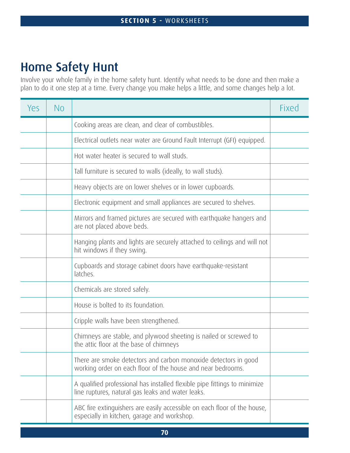# Home Safety Hunt

Involve your whole family in the home safety hunt. Identify what needs to be done and then make a plan to do it one step at a time. Every change you make helps a little, and some changes help a lot.

| Yes | N <sub>0</sub> |                                                                                                                                | Fixed |
|-----|----------------|--------------------------------------------------------------------------------------------------------------------------------|-------|
|     |                | Cooking areas are clean, and clear of combustibles.                                                                            |       |
|     |                | Electrical outlets near water are Ground Fault Interrupt (GFI) equipped.                                                       |       |
|     |                | Hot water heater is secured to wall studs.                                                                                     |       |
|     |                | Tall furniture is secured to walls (ideally, to wall studs).                                                                   |       |
|     |                | Heavy objects are on lower shelves or in lower cupboards.                                                                      |       |
|     |                | Electronic equipment and small appliances are secured to shelves.                                                              |       |
|     |                | Mirrors and framed pictures are secured with earthquake hangers and<br>are not placed above beds.                              |       |
|     |                | Hanging plants and lights are securely attached to ceilings and will not<br>hit windows if they swing.                         |       |
|     |                | Cupboards and storage cabinet doors have earthquake-resistant<br>latches.                                                      |       |
|     |                | Chemicals are stored safely.                                                                                                   |       |
|     |                | House is bolted to its foundation.                                                                                             |       |
|     |                | Cripple walls have been strengthened.                                                                                          |       |
|     |                | Chimneys are stable, and plywood sheeting is nailed or screwed to<br>the attic floor at the base of chimneys                   |       |
|     |                | There are smoke detectors and carbon monoxide detectors in good<br>working order on each floor of the house and near bedrooms. |       |
|     |                | A qualified professional has installed flexible pipe fittings to minimize<br>line ruptures, natural gas leaks and water leaks. |       |
|     |                | ABC fire extinguishers are easily accessible on each floor of the house,<br>especially in kitchen, garage and workshop.        |       |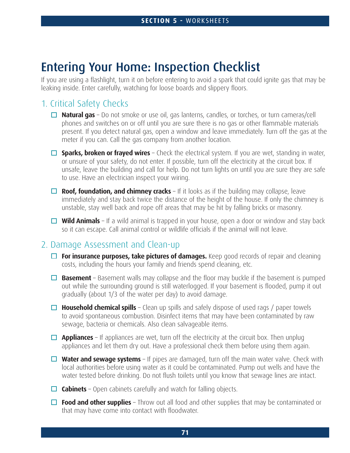# Entering Your Home: Inspection Checklist

If you are using a flashlight, turn it on before entering to avoid a spark that could ignite gas that may be leaking inside. Enter carefully, watching for loose boards and slippery floors.

# 1. Critical Safety Checks

- **Natural gas** Do not smoke or use oil, gas lanterns, candles, or torches, or turn cameras/cell phones and switches on or off until you are sure there is no gas or other flammable materials present. If you detect natural gas, open a window and leave immediately. Turn off the gas at the meter if you can. Call the gas company from another location.
- **Sparks, broken or frayed wires** Check the electrical system. If you are wet, standing in water, or unsure of your safety, do not enter. If possible, turn off the electricity at the circuit box. If unsafe, leave the building and call for help. Do not turn lights on until you are sure they are safe to use. Have an electrician inspect your wiring.
- $\Box$  **Roof, foundation, and chimney cracks** If it looks as if the building may collapse, leave immediately and stay back twice the distance of the height of the house. If only the chimney is unstable, stay well back and rope off areas that may be hit by falling bricks or masonry.
- **Wild Animals** If a wild animal is trapped in your house, open a door or window and stay back so it can escape. Call animal control or wildlife officials if the animal will not leave.

## 2. Damage Assessment and Clean-up

- **For insurance purposes, take pictures of damages.** Keep good records of repair and cleaning costs, including the hours your family and friends spend cleaning, etc.
- **Basement** Basement walls may collapse and the floor may buckle if the basement is pumped out while the surrounding ground is still waterlogged. If your basement is flooded, pump it out gradually (about 1/3 of the water per day) to avoid damage.
- **Household chemical spills** Clean up spills and safely dispose of used rags / paper towels to avoid spontaneous combustion. Disinfect items that may have been contaminated by raw sewage, bacteria or chemicals. Also clean salvageable items.
- □ **Appliances** If appliances are wet, turn off the electricity at the circuit box. Then unplug appliances and let them dry out. Have a professional check them before using them again.
- **Water and sewage systems** If pipes are damaged, turn off the main water valve. Check with local authorities before using water as it could be contaminated. Pump out wells and have the water tested before drinking. Do not flush toilets until you know that sewage lines are intact.
- **Cabinets** Open cabinets carefully and watch for falling objects.
- **□ Food and other supplies** Throw out all food and other supplies that may be contaminated or that may have come into contact with floodwater.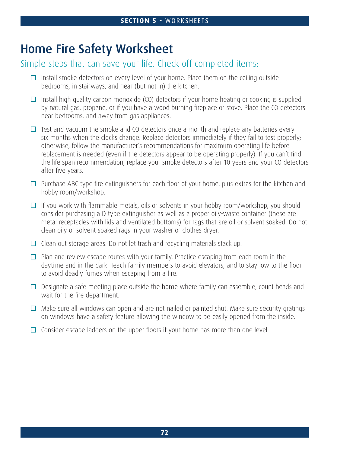# Home Fire Safety Worksheet

# Simple steps that can save your life. Check off completed items:

- $\Box$  Install smoke detectors on every level of your home. Place them on the ceiling outside bedrooms, in stairways, and near (but not in) the kitchen.
- $\Box$  Install high quality carbon monoxide (CO) detectors if your home heating or cooking is supplied by natural gas, propane, or if you have a wood burning fireplace or stove. Place the CO detectors near bedrooms, and away from gas appliances.
- $\Box$  Test and vacuum the smoke and CO detectors once a month and replace any batteries every six months when the clocks change. Replace detectors immediately if they fail to test properly; otherwise, follow the manufacturer's recommendations for maximum operating life before replacement is needed (even if the detectors appear to be operating properly). If you can't find the life span recommendation, replace your smoke detectors after 10 years and your CO detectors after five years.
- $\Box$  Purchase ABC type fire extinguishers for each floor of your home, plus extras for the kitchen and hobby room/workshop.
- $\Box$  If you work with flammable metals, oils or solvents in your hobby room/workshop, you should consider purchasing a D type extinguisher as well as a proper oily-waste container (these are metal receptacles with lids and ventilated bottoms) for rags that are oil or solvent-soaked. Do not clean oily or solvent soaked rags in your washer or clothes dryer.
- $\Box$  Clean out storage areas. Do not let trash and recycling materials stack up.
- $\Box$  Plan and review escape routes with your family. Practice escaping from each room in the daytime and in the dark. Teach family members to avoid elevators, and to stay low to the floor to avoid deadly fumes when escaping from a fire.
- $\Box$  Designate a safe meeting place outside the home where family can assemble, count heads and wait for the fire department.
- $\Box$  Make sure all windows can open and are not nailed or painted shut. Make sure security gratings on windows have a safety feature allowing the window to be easily opened from the inside.
- $\Box$  Consider escape ladders on the upper floors if your home has more than one level.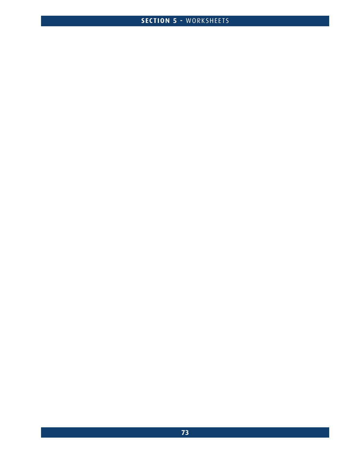## **SECTION 5 -** WORKSHEETS